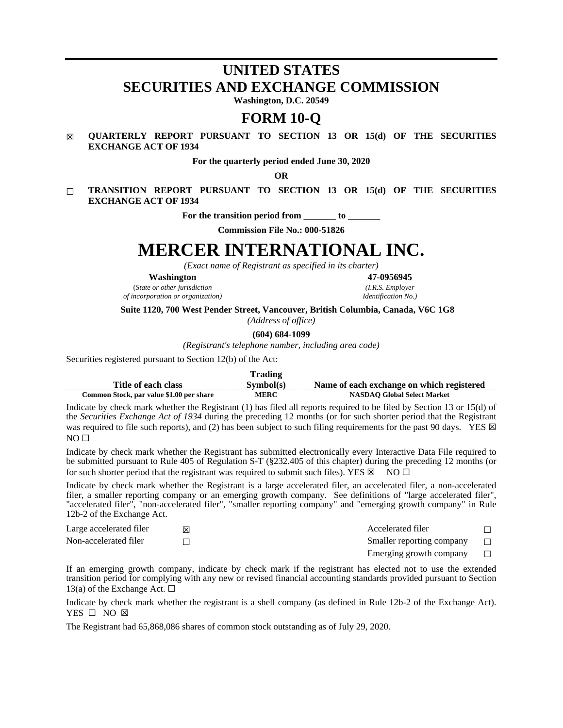# **UNITED STATES SECURITIES AND EXCHANGE COMMISSION**

**Washington, D.C. 20549**

# **FORM 10-Q**

# ☒ **QUARTERLY REPORT PURSUANT TO SECTION 13 OR 15(d) OF THE SECURITIES EXCHANGE ACT OF 1934**

**For the quarterly period ended June 30, 2020**

**OR**

☐ **TRANSITION REPORT PURSUANT TO SECTION 13 OR 15(d) OF THE SECURITIES EXCHANGE ACT OF 1934**

For the transition period from to

**Commission File No.: 000-51826**

# **MERCER INTERNATIONAL INC.**

*(Exact name of Registrant as specified in its charter)*

**Washington 47-0956945**

(*State or other jurisdiction (I.R.S. Employer*  $of incorporation$  *or organization*)

**Suite 1120, 700 West Pender Street, Vancouver, British Columbia, Canada, V6C 1G8**

*(Address of office)*

**(604) 684-1099**

*(Registrant's telephone number, including area code)*

Securities registered pursuant to Section 12(b) of the Act:

|                                          | <b>Trading</b> |                                           |
|------------------------------------------|----------------|-------------------------------------------|
| Title of each class                      | Sumbol(s)      | Name of each exchange on which registered |
| Common Stock, par value \$1.00 per share | <b>MERC</b>    | <b>NASDAO Global Select Market</b>        |

Indicate by check mark whether the Registrant (1) has filed all reports required to be filed by Section 13 or 15(d) of the *Securities Exchange Act of 1934* during the preceding 12 months (or for such shorter period that the Registrant was required to file such reports), and (2) has been subject to such filing requirements for the past 90 days. YES  $\boxtimes$  $NO<sub>II</sub>$ 

Indicate by check mark whether the Registrant has submitted electronically every Interactive Data File required to be submitted pursuant to Rule 405 of Regulation S-T (§232.405 of this chapter) during the preceding 12 months (or for such shorter period that the registrant was required to submit such files). YES  $\boxtimes$  NO  $\Box$ 

Indicate by check mark whether the Registrant is a large accelerated filer, an accelerated filer, a non-accelerated filer, a smaller reporting company or an emerging growth company. See definitions of "large accelerated filer", "accelerated filer", "non-accelerated filer", "smaller reporting company" and "emerging growth company" in Rule 12b-2 of the Exchange Act.

| Large accelerated filer | Accelerated filer         |        |
|-------------------------|---------------------------|--------|
| Non-accelerated filer   | Smaller reporting company | $\Box$ |
|                         | Emerging growth company   | $\Box$ |

If an emerging growth company, indicate by check mark if the registrant has elected not to use the extended transition period for complying with any new or revised financial accounting standards provided pursuant to Section 13(a) of the Exchange Act.  $\Box$ 

Indicate by check mark whether the registrant is a shell company (as defined in Rule 12b-2 of the Exchange Act). YES □ NO ⊠

The Registrant had 65,868,086 shares of common stock outstanding as of July 29, 2020.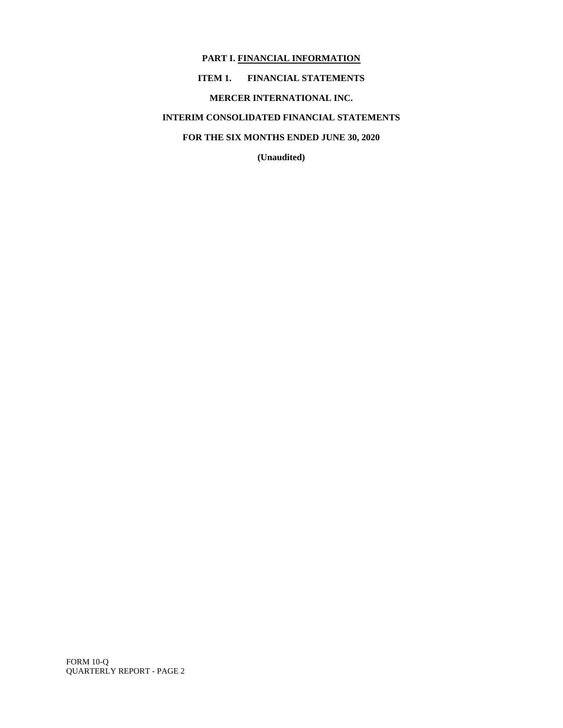# **PART I. FINANCIAL INFORMATION**

# **ITEM 1. FINANCIAL STATEMENTS**

# **MERCER INTERNATIONAL INC.**

# **INTERIM CONSOLIDATED FINANCIAL STATEMENTS**

# **FOR THE SIX MONTHS ENDED JUNE 30, 2020**

**(Unaudited)**

FORM 10-Q QUARTERLY REPORT - PAGE 2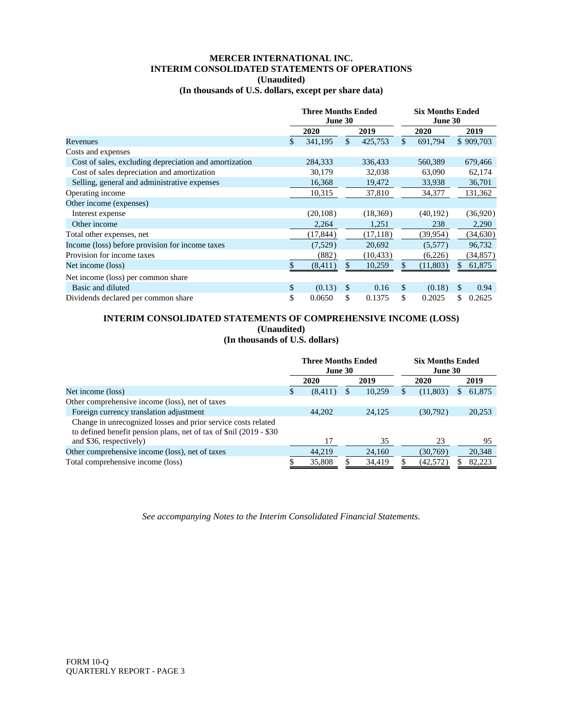# **MERCER INTERNATIONAL INC. INTERIM CONSOLIDATED STATEMENTS OF OPERATIONS (Unaudited)**

## **(In thousands of U.S. dollars, except per share data)**

|                                                        | <b>Three Months Ended</b><br>June 30 |           |               | <b>Six Months Ended</b><br>June 30 |    |           |    |           |
|--------------------------------------------------------|--------------------------------------|-----------|---------------|------------------------------------|----|-----------|----|-----------|
|                                                        |                                      | 2020      |               | 2019                               |    | 2020      |    | 2019      |
| Revenues                                               | \$                                   | 341,195   | $\mathbb{S}$  | 425,753                            | \$ | 691,794   |    | \$909,703 |
| Costs and expenses                                     |                                      |           |               |                                    |    |           |    |           |
| Cost of sales, excluding depreciation and amortization |                                      | 284,333   |               | 336,433                            |    | 560,389   |    | 679,466   |
| Cost of sales depreciation and amortization            |                                      | 30,179    |               | 32,038                             |    | 63,090    |    | 62,174    |
| Selling, general and administrative expenses           |                                      | 16,368    |               | 19,472                             |    | 33,938    |    | 36,701    |
| Operating income                                       |                                      | 10,315    |               | 37,810                             |    | 34,377    |    | 131,362   |
| Other income (expenses)                                |                                      |           |               |                                    |    |           |    |           |
| Interest expense                                       |                                      | (20, 108) |               | (18, 369)                          |    | (40, 192) |    | (36,920)  |
| Other income                                           |                                      | 2,264     |               | 1,251                              |    | 238       |    | 2,290     |
| Total other expenses, net                              |                                      | (17, 844) |               | (17, 118)                          |    | (39, 954) |    | (34, 630) |
| Income (loss) before provision for income taxes        |                                      | (7,529)   |               | 20,692                             |    | (5,577)   |    | 96,732    |
| Provision for income taxes                             |                                      | (882)     |               | (10, 433)                          |    | (6,226)   |    | (34, 857) |
| Net income (loss)                                      |                                      | (8, 411)  |               | 10,259                             | \$ | (11, 803) | S. | 61,875    |
| Net income (loss) per common share                     |                                      |           |               |                                    |    |           |    |           |
| Basic and diluted                                      | \$                                   | (0.13)    | <sup>\$</sup> | 0.16                               | \$ | (0.18)    | \$ | 0.94      |
| Dividends declared per common share                    | \$                                   | 0.0650    | \$            | 0.1375                             | \$ | 0.2025    | \$ | 0.2625    |

## **INTERIM CONSOLIDATED STATEMENTS OF COMPREHENSIVE INCOME (LOSS) (Unaudited)**

**(In thousands of U.S. dollars)**

|                                                                                                                                      | <b>Three Months Ended</b><br>June 30 |          |  | <b>Six Months Ended</b><br>June 30 |   |          |    |        |
|--------------------------------------------------------------------------------------------------------------------------------------|--------------------------------------|----------|--|------------------------------------|---|----------|----|--------|
|                                                                                                                                      |                                      | 2020     |  | 2019                               |   | 2020     |    | 2019   |
| Net income (loss)                                                                                                                    |                                      | (8, 411) |  | 10,259                             | S | (11,803) | ъ. | 61,875 |
| Other comprehensive income (loss), net of taxes                                                                                      |                                      |          |  |                                    |   |          |    |        |
| Foreign currency translation adjustment                                                                                              |                                      | 44,202   |  | 24.125                             |   | (30,792) |    | 20,253 |
| Change in unrecognized losses and prior service costs related<br>to defined benefit pension plans, net of tax of \$nil (2019 - \$30) |                                      |          |  |                                    |   |          |    |        |
| and \$36, respectively)                                                                                                              |                                      | 17       |  | 35                                 |   | 23       |    | 95     |
| Other comprehensive income (loss), net of taxes                                                                                      |                                      | 44.219   |  | 24.160                             |   | (30,769) |    | 20,348 |
| Total comprehensive income (loss)                                                                                                    |                                      | 35,808   |  | 34,419                             |   | (42,572) |    | 82,223 |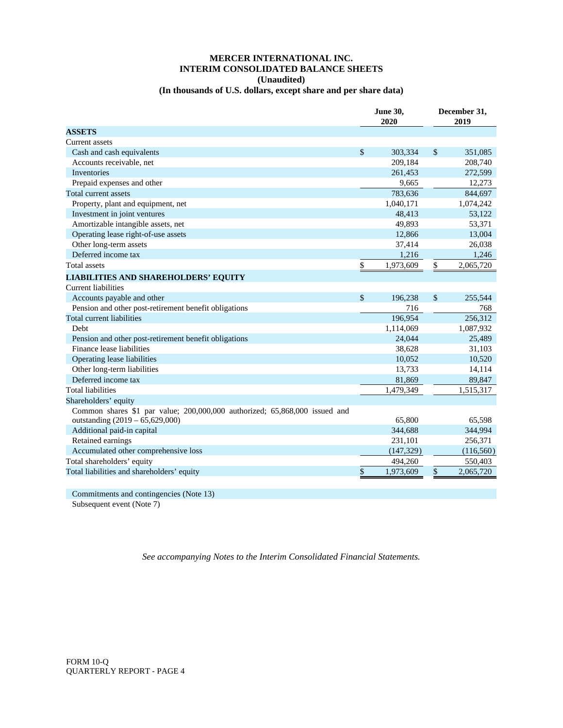# **MERCER INTERNATIONAL INC. INTERIM CONSOLIDATED BALANCE SHEETS (Unaudited)**

# **(In thousands of U.S. dollars, except share and per share data)**

|                                                                                                               |              | <b>June 30,</b><br>2020 |              | December 31,<br>2019 |
|---------------------------------------------------------------------------------------------------------------|--------------|-------------------------|--------------|----------------------|
| <b>ASSETS</b>                                                                                                 |              |                         |              |                      |
| Current assets                                                                                                |              |                         |              |                      |
| Cash and cash equivalents                                                                                     | $\mathbb{S}$ | 303,334                 | \$           | 351,085              |
| Accounts receivable, net                                                                                      |              | 209,184                 |              | 208,740              |
| <b>Inventories</b>                                                                                            |              | 261,453                 |              | 272,599              |
| Prepaid expenses and other                                                                                    |              | 9,665                   |              | 12,273               |
| Total current assets                                                                                          |              | 783,636                 |              | 844,697              |
| Property, plant and equipment, net                                                                            |              | 1,040,171               |              | 1,074,242            |
| Investment in joint ventures                                                                                  |              | 48,413                  |              | 53,122               |
| Amortizable intangible assets, net                                                                            |              | 49,893                  |              | 53,371               |
| Operating lease right-of-use assets                                                                           |              | 12,866                  |              | 13,004               |
| Other long-term assets                                                                                        |              | 37,414                  |              | 26,038               |
| Deferred income tax                                                                                           |              | 1,216                   |              | 1,246                |
| <b>Total assets</b>                                                                                           | \$           | 1,973,609               | \$           | 2,065,720            |
| <b>LIABILITIES AND SHAREHOLDERS' EQUITY</b>                                                                   |              |                         |              |                      |
| Current liabilities                                                                                           |              |                         |              |                      |
| Accounts payable and other                                                                                    | \$           | 196,238                 | $\mathbb{S}$ | 255,544              |
| Pension and other post-retirement benefit obligations                                                         |              | 716                     |              | 768                  |
| Total current liabilities                                                                                     |              | 196,954                 |              | 256,312              |
| Debt                                                                                                          |              | 1,114,069               |              | 1,087,932            |
| Pension and other post-retirement benefit obligations                                                         |              | 24,044                  |              | 25,489               |
| Finance lease liabilities                                                                                     |              | 38,628                  |              | 31,103               |
| Operating lease liabilities                                                                                   |              | 10,052                  |              | 10,520               |
| Other long-term liabilities                                                                                   |              | 13,733                  |              | 14,114               |
| Deferred income tax                                                                                           |              | 81,869                  |              | 89,847               |
| <b>Total liabilities</b>                                                                                      |              | 1,479,349               |              | 1,515,317            |
| Shareholders' equity                                                                                          |              |                         |              |                      |
| Common shares \$1 par value; 200,000,000 authorized; 65,868,000 issued and<br>outstanding (2019 - 65,629,000) |              | 65,800                  |              | 65,598               |
| Additional paid-in capital                                                                                    |              | 344,688                 |              | 344,994              |
| Retained earnings                                                                                             |              | 231,101                 |              | 256,371              |
| Accumulated other comprehensive loss                                                                          |              | (147, 329)              |              | (116, 560)           |
| Total shareholders' equity                                                                                    |              | 494,260                 |              | 550,403              |
| Total liabilities and shareholders' equity                                                                    | \$           | 1,973,609               | \$           | 2,065,720            |
|                                                                                                               |              |                         |              |                      |

Commitments and contingencies (Note 13)

Subsequent event (Note 7)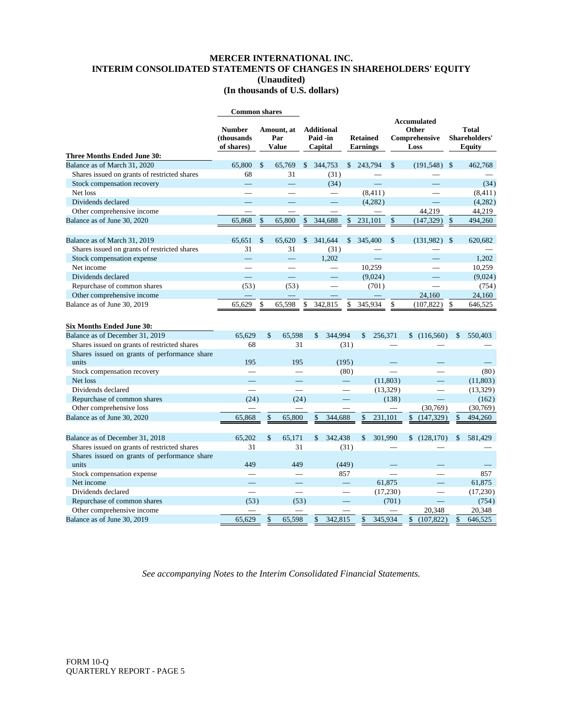# **MERCER INTERNATIONAL INC. INTERIM CONSOLIDATED STATEMENTS OF CHANGES IN SHAREHOLDERS' EQUITY (Unaudited) (In thousands of U.S. dollars)**

| <b>Common shares</b> |  |
|----------------------|--|

|                                                       |                                           |               |                                   |               |                                          |                                    | <b>Accumulated</b> |               |                                  |               |           |  |                                                |
|-------------------------------------------------------|-------------------------------------------|---------------|-----------------------------------|---------------|------------------------------------------|------------------------------------|--------------------|---------------|----------------------------------|---------------|-----------|--|------------------------------------------------|
|                                                       | <b>Number</b><br>(thousands<br>of shares) |               | Amount, at<br>Par<br><b>Value</b> |               | <b>Additional</b><br>Paid -in<br>Capital | <b>Retained</b><br><b>Earnings</b> |                    | Other<br>Loss |                                  | Comprehensive |           |  | <b>Total</b><br>Shareholders'<br><b>Equity</b> |
| <b>Three Months Ended June 30:</b>                    |                                           |               |                                   |               |                                          |                                    |                    |               |                                  |               |           |  |                                                |
| Balance as of March 31, 2020                          | 65,800                                    | $\mathcal{S}$ | 65.769                            | $\mathcal{S}$ | 344,753                                  | $\mathcal{S}$                      | 243.794            | $\mathcal{S}$ | $(191,548)$ \$                   |               | 462,768   |  |                                                |
| Shares issued on grants of restricted shares          | 68                                        |               | 31                                |               | (31)                                     |                                    |                    |               |                                  |               |           |  |                                                |
| Stock compensation recovery                           |                                           |               |                                   |               | (34)                                     |                                    |                    |               |                                  |               | (34)      |  |                                                |
| Net loss                                              |                                           |               |                                   |               | $\equiv$                                 |                                    | (8, 411)           |               |                                  |               | (8, 411)  |  |                                                |
| Dividends declared                                    |                                           |               |                                   |               |                                          |                                    | (4,282)            |               |                                  |               | (4,282)   |  |                                                |
| Other comprehensive income                            |                                           |               |                                   |               |                                          |                                    |                    |               | 44,219                           |               | 44,219    |  |                                                |
| Balance as of June 30, 2020                           | 65,868                                    | \$            | 65,800                            | \$            | 344,688                                  | \$                                 | 231,101            | \$            | (147, 329)                       | $\mathcal{S}$ | 494,260   |  |                                                |
| Balance as of March 31, 2019                          | 65.651                                    | \$            | 65.620                            | \$            | 341,644                                  | $\mathbb{S}$                       | 345,400            | $\mathcal{S}$ | (131,982)                        | -\$           | 620,682   |  |                                                |
| Shares issued on grants of restricted shares          | 31                                        |               | 31                                |               | (31)                                     |                                    |                    |               |                                  |               |           |  |                                                |
| Stock compensation expense                            |                                           |               | 二                                 |               | 1,202                                    |                                    |                    |               |                                  |               | 1,202     |  |                                                |
| Net income                                            |                                           |               |                                   |               |                                          |                                    | 10,259             |               |                                  |               | 10,259    |  |                                                |
| Dividends declared                                    | $\overline{\phantom{a}}$                  |               | $\equiv$                          |               | $\equiv$                                 |                                    | (9,024)            |               |                                  |               | (9,024)   |  |                                                |
| Repurchase of common shares                           | (53)                                      |               | (53)                              |               |                                          |                                    | (701)              |               |                                  |               | (754)     |  |                                                |
| Other comprehensive income                            |                                           |               |                                   |               |                                          |                                    |                    |               | 24,160                           |               | 24,160    |  |                                                |
| Balance as of June 30, 2019                           | 65,629                                    | \$            | 65,598                            | \$            | 342,815                                  | \$                                 | 345,934            | \$            | (107, 822)                       | \$            | 646,525   |  |                                                |
| <b>Six Months Ended June 30:</b>                      |                                           |               |                                   |               |                                          |                                    |                    |               |                                  |               |           |  |                                                |
| Balance as of December 31, 2019                       | 65.629                                    |               | $\mathbf{\hat{s}}$<br>65.598      |               | 344,994<br>$\mathbf{\hat{S}}$            |                                    | \$                 | 256,371       | \$<br>(116,560)                  | \$            | 550,403   |  |                                                |
| Shares issued on grants of restricted shares          | 68                                        |               | 31                                |               |                                          | (31)                               |                    |               |                                  |               |           |  |                                                |
| Shares issued on grants of performance share<br>units | 195                                       |               | 195                               |               |                                          | (195)                              |                    |               |                                  |               |           |  |                                                |
| Stock compensation recovery                           |                                           |               |                                   |               |                                          | (80)                               |                    |               |                                  |               | (80)      |  |                                                |
| Net loss                                              |                                           |               |                                   |               |                                          | $\equiv$                           |                    | (11, 803)     |                                  |               | (11,803)  |  |                                                |
| Dividends declared                                    | $\overline{\phantom{a}}$                  |               |                                   |               |                                          |                                    |                    | (13, 329)     | $\overline{\phantom{0}}$         |               | (13, 329) |  |                                                |
| Repurchase of common shares                           | (24)                                      |               | (24)                              |               |                                          |                                    |                    | (138)         | $\overline{\phantom{0}}$         |               | (162)     |  |                                                |
| Other comprehensive loss                              | $\equiv$                                  |               |                                   |               |                                          |                                    |                    |               | (30,769)                         |               | (30,769)  |  |                                                |
| Balance as of June 30, 2020                           | 65,868                                    |               | \$<br>65,800                      |               | \$<br>344,688                            |                                    | $\mathcal{S}$      | 231,101       | $\mathbf{\hat{s}}$<br>(147, 329) |               | 494,260   |  |                                                |
| Balance as of December 31, 2018                       | 65.202                                    |               | \$<br>65.171                      |               | \$<br>342,438                            |                                    | \$                 | 301.990       | (128, 170)<br>\$                 | \$            | 581,429   |  |                                                |
| Shares issued on grants of restricted shares          | 31                                        |               | 31                                |               |                                          | (31)                               |                    |               |                                  |               |           |  |                                                |
| Shares issued on grants of performance share<br>units | 449                                       |               | 449                               |               |                                          | (449)                              |                    |               |                                  |               |           |  |                                                |
| Stock compensation expense                            |                                           |               |                                   |               |                                          | 857                                |                    |               |                                  |               | 857       |  |                                                |
| Net income                                            |                                           |               |                                   |               |                                          |                                    |                    | 61,875        |                                  |               | 61,875    |  |                                                |
| Dividends declared                                    | $\overline{\phantom{0}}$                  |               | $\overline{\phantom{a}}$          |               |                                          |                                    |                    | (17,230)      | $\overline{\phantom{a}}$         |               | (17,230)  |  |                                                |
|                                                       |                                           |               |                                   |               |                                          |                                    |                    |               | $\equiv$                         |               |           |  |                                                |
| Repurchase of common shares                           | (53)                                      |               | (53)                              |               |                                          |                                    |                    | (701)         | 20,348                           |               | (754)     |  |                                                |
| Other comprehensive income                            |                                           |               |                                   |               | \$                                       |                                    | \$                 |               |                                  |               | 20,348    |  |                                                |
| Balance as of June 30, 2019                           | 65,629                                    |               | \$<br>65,598                      |               | 342,815                                  |                                    |                    | 345,934       | \$<br>(107, 822)                 | \$            | 646,525   |  |                                                |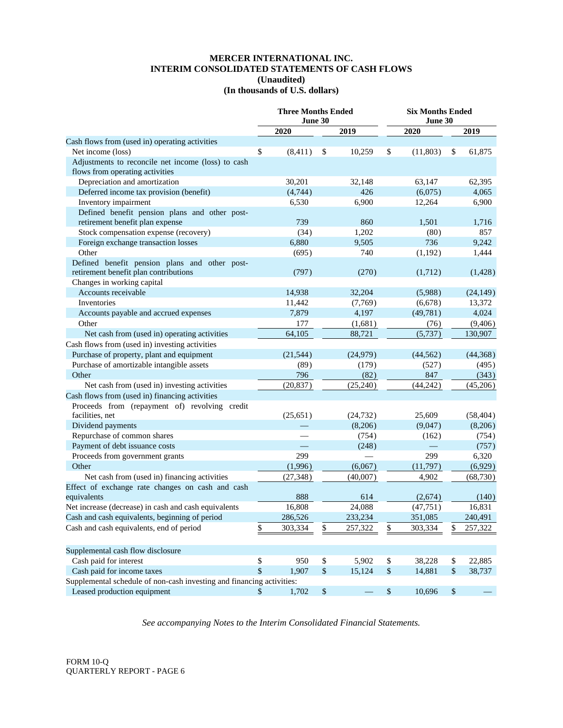# **MERCER INTERNATIONAL INC. INTERIM CONSOLIDATED STATEMENTS OF CASH FLOWS (Unaudited)**

|                                                    |                                      | Unauguta /<br>(In thousands of U.S. dollars) |  |        |   |                                    |        |
|----------------------------------------------------|--------------------------------------|----------------------------------------------|--|--------|---|------------------------------------|--------|
|                                                    | <b>Three Months Ended</b><br>June 30 |                                              |  |        |   | <b>Six Months Ended</b><br>June 30 |        |
|                                                    |                                      | 2020                                         |  | 2019   |   | 2020                               | 2019   |
| Cash flows from (used in) operating activities     |                                      |                                              |  |        |   |                                    |        |
| Net income (loss)                                  | \$                                   | (8, 411)                                     |  | 10.259 | S | (11,803)                           | 61,875 |
| Adjustments to reconcile net income (loss) to cash |                                      |                                              |  |        |   |                                    |        |

Adjustments t flows from operating activities Depreciation and amortization 30,201 32,148 63,147 62,395 Deferred income tax provision (benefit) (4,744) 426 (6,075) 4,065 Inventory impairment 6,530 6,900 12,264 6,900 Defined benefit pension plans and other postretirement benefit plan expense 1.501 1,716 Stock compensation expense (recovery) (34) 1,202 (80) 857 Foreign exchange transaction losses 6,880 9,505 736 9,242 Other (695) 740 (1,192) 1,444 Defined benefit pension plans and other postretirement benefit plan contributions (797) (270) (1,712) (1,428) Changes in working capital Accounts receivable 14,938 32,204 (5,988) (24,149) Inventories 11,442 (7,769) (6,678) 13,372 Accounts payable and accrued expenses  $7,879$   $4,197$   $(49,781)$   $4,024$ Other 177 (1,681) (76) (9,406) Net cash from (used in) operating activities 64,105 88,721 (5,737) 130,907 Cash flows from (used in) investing activities Purchase of property, plant and equipment (21,544) (24,979) (44,562) (44,368) Purchase of amortizable intangible assets (89) (179) (527) (495) Other  $(82)$  847 (343) Net cash from (used in) investing activities (20,837) (25,240) (44,242) (45,206) Cash flows from (used in) financing activities Proceeds from (repayment of) revolving credit facilities, net (25,651) (24,732) 25,609 (58,404) Dividend payments — (8,206) (9,047) (8,206) Repurchase of common shares  $-$  (754) (162) (754) Payment of debt issuance costs — (248) — (757) Proceeds from government grants 299  $-$  299 6,320 Other (1,996) (6,067) (11,797) (6,929) Net cash from (used in) financing activities (27,348) (40,007) 4,902 (68,730) Effect of exchange rate changes on cash and cash equivalents  $888$  614 (2,674) (140) Net increase (decrease) in cash and cash equivalents 16,808 24,088 (47,751) 16,831 Cash and cash equivalents, beginning of period 286,526 233,234 351,085 240,491 Cash and cash equivalents, end of period \$ 303,334 \$ 257,322 \$ 303,334 \$ 257,322 Supplemental cash flow disclosure Cash paid for interest  $\qquad$   $\qquad$  950 \$  $\qquad$  5,902 \$ 38,228 \$ 22,885 Cash paid for income taxes  $\frac{1,907}{\$}$  1,907 \$ 15,124 \$ 14,881 \$ 38,737 Supplemental schedule of non-cash investing and financing activities: Leased production equipment  $\qquad$  \$ 1,702 \$ — \$ 10,696 \$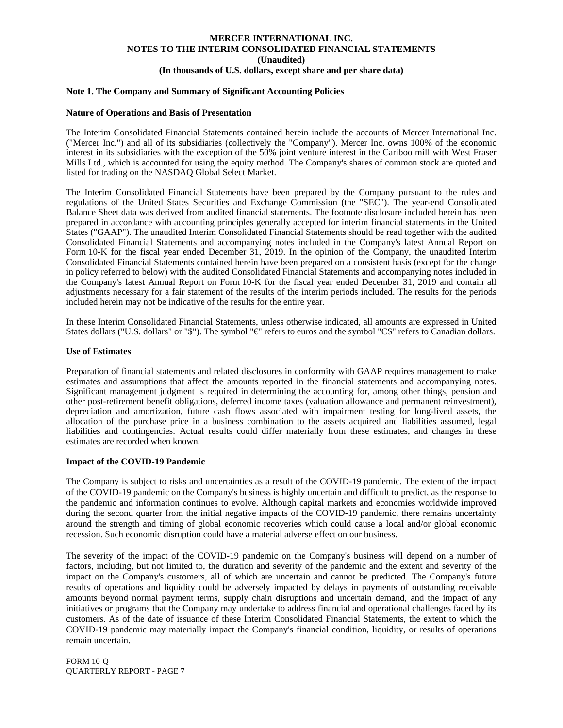#### **Note 1. The Company and Summary of Significant Accounting Policies**

#### **Nature of Operations and Basis of Presentation**

The Interim Consolidated Financial Statements contained herein include the accounts of Mercer International Inc. ("Mercer Inc.") and all of its subsidiaries (collectively the "Company"). Mercer Inc. owns 100% of the economic interest in its subsidiaries with the exception of the 50% joint venture interest in the Cariboo mill with West Fraser Mills Ltd., which is accounted for using the equity method. The Company's shares of common stock are quoted and listed for trading on the NASDAQ Global Select Market.

The Interim Consolidated Financial Statements have been prepared by the Company pursuant to the rules and regulations of the United States Securities and Exchange Commission (the "SEC"). The year-end Consolidated Balance Sheet data was derived from audited financial statements. The footnote disclosure included herein has been prepared in accordance with accounting principles generally accepted for interim financial statements in the United States ("GAAP"). The unaudited Interim Consolidated Financial Statements should be read together with the audited Consolidated Financial Statements and accompanying notes included in the Company's latest Annual Report on Form 10-K for the fiscal year ended December 31, 2019. In the opinion of the Company, the unaudited Interim Consolidated Financial Statements contained herein have been prepared on a consistent basis (except for the change in policy referred to below) with the audited Consolidated Financial Statements and accompanying notes included in the Company's latest Annual Report on Form 10-K for the fiscal year ended December 31, 2019 and contain all adjustments necessary for a fair statement of the results of the interim periods included. The results for the periods included herein may not be indicative of the results for the entire year.

In these Interim Consolidated Financial Statements, unless otherwise indicated, all amounts are expressed in United States dollars ("U.S. dollars" or "\$"). The symbol "€" refers to euros and the symbol "C\$" refers to Canadian dollars.

#### **Use of Estimates**

Preparation of financial statements and related disclosures in conformity with GAAP requires management to make estimates and assumptions that affect the amounts reported in the financial statements and accompanying notes. Significant management judgment is required in determining the accounting for, among other things, pension and other post-retirement benefit obligations, deferred income taxes (valuation allowance and permanent reinvestment), depreciation and amortization, future cash flows associated with impairment testing for long-lived assets, the allocation of the purchase price in a business combination to the assets acquired and liabilities assumed, legal liabilities and contingencies. Actual results could differ materially from these estimates, and changes in these estimates are recorded when known.

#### **Impact of the COVID-19 Pandemic**

The Company is subject to risks and uncertainties as a result of the COVID-19 pandemic. The extent of the impact of the COVID-19 pandemic on the Company's business is highly uncertain and difficult to predict, as the response to the pandemic and information continues to evolve. Although capital markets and economies worldwide improved during the second quarter from the initial negative impacts of the COVID-19 pandemic, there remains uncertainty around the strength and timing of global economic recoveries which could cause a local and/or global economic recession. Such economic disruption could have a material adverse effect on our business.

The severity of the impact of the COVID-19 pandemic on the Company's business will depend on a number of factors, including, but not limited to, the duration and severity of the pandemic and the extent and severity of the impact on the Company's customers, all of which are uncertain and cannot be predicted. The Company's future results of operations and liquidity could be adversely impacted by delays in payments of outstanding receivable amounts beyond normal payment terms, supply chain disruptions and uncertain demand, and the impact of any initiatives or programs that the Company may undertake to address financial and operational challenges faced by its customers. As of the date of issuance of these Interim Consolidated Financial Statements, the extent to which the COVID-19 pandemic may materially impact the Company's financial condition, liquidity, or results of operations remain uncertain.

FORM 10-Q QUARTERLY REPORT - PAGE 7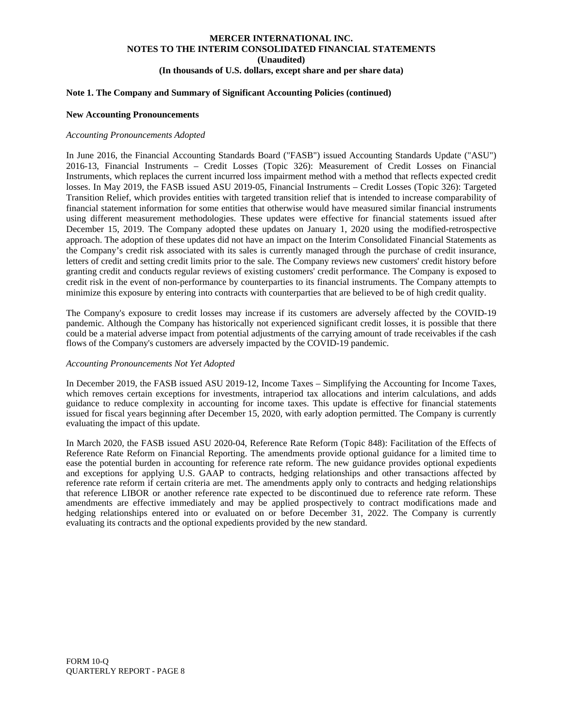#### **Note 1. The Company and Summary of Significant Accounting Policies (continued)**

#### **New Accounting Pronouncements**

#### *Accounting Pronouncements Adopted*

In June 2016, the Financial Accounting Standards Board ("FASB") issued Accounting Standards Update ("ASU") 2016-13, Financial Instruments – Credit Losses (Topic 326): Measurement of Credit Losses on Financial Instruments, which replaces the current incurred loss impairment method with a method that reflects expected credit losses. In May 2019, the FASB issued ASU 2019-05, Financial Instruments – Credit Losses (Topic 326): Targeted Transition Relief, which provides entities with targeted transition relief that is intended to increase comparability of financial statement information for some entities that otherwise would have measured similar financial instruments using different measurement methodologies. These updates were effective for financial statements issued after December 15, 2019. The Company adopted these updates on January 1, 2020 using the modified-retrospective approach. The adoption of these updates did not have an impact on the Interim Consolidated Financial Statements as the Company's credit risk associated with its sales is currently managed through the purchase of credit insurance, letters of credit and setting credit limits prior to the sale. The Company reviews new customers' credit history before granting credit and conducts regular reviews of existing customers' credit performance. The Company is exposed to credit risk in the event of non-performance by counterparties to its financial instruments. The Company attempts to minimize this exposure by entering into contracts with counterparties that are believed to be of high credit quality.

The Company's exposure to credit losses may increase if its customers are adversely affected by the COVID-19 pandemic. Although the Company has historically not experienced significant credit losses, it is possible that there could be a material adverse impact from potential adjustments of the carrying amount of trade receivables if the cash flows of the Company's customers are adversely impacted by the COVID-19 pandemic.

#### *Accounting Pronouncements Not Yet Adopted*

In December 2019, the FASB issued ASU 2019-12, Income Taxes – Simplifying the Accounting for Income Taxes, which removes certain exceptions for investments, intraperiod tax allocations and interim calculations, and adds guidance to reduce complexity in accounting for income taxes. This update is effective for financial statements issued for fiscal years beginning after December 15, 2020, with early adoption permitted. The Company is currently evaluating the impact of this update.

In March 2020, the FASB issued ASU 2020-04, Reference Rate Reform (Topic 848): Facilitation of the Effects of Reference Rate Reform on Financial Reporting. The amendments provide optional guidance for a limited time to ease the potential burden in accounting for reference rate reform. The new guidance provides optional expedients and exceptions for applying U.S. GAAP to contracts, hedging relationships and other transactions affected by reference rate reform if certain criteria are met. The amendments apply only to contracts and hedging relationships that reference LIBOR or another reference rate expected to be discontinued due to reference rate reform. These amendments are effective immediately and may be applied prospectively to contract modifications made and hedging relationships entered into or evaluated on or before December 31, 2022. The Company is currently evaluating its contracts and the optional expedients provided by the new standard.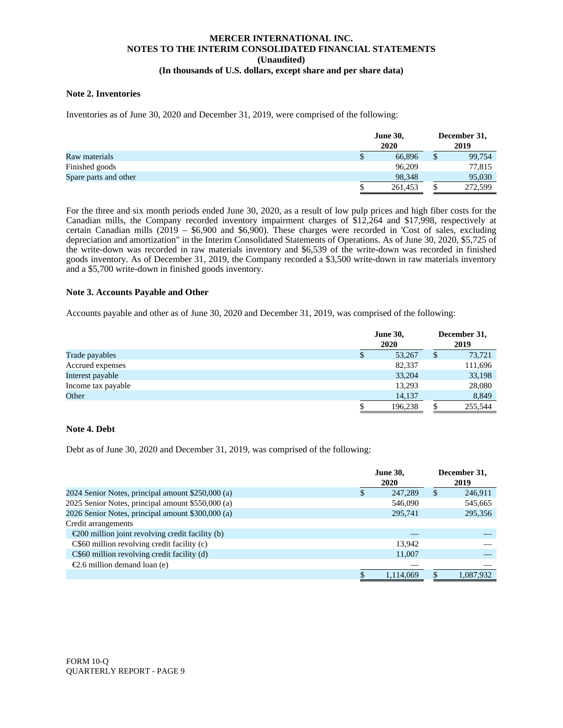#### **Note 2. Inventories**

Inventories as of June 30, 2020 and December 31, 2019, were comprised of the following:

|                       | <b>June 30,</b><br>2020 | December 31,<br>2019 |
|-----------------------|-------------------------|----------------------|
| Raw materials         | \$<br>66.896            | \$<br>99,754         |
| Finished goods        | 96,209                  | 77,815               |
| Spare parts and other | 98.348                  | 95,030               |
|                       | 261,453                 | \$<br>272.599        |

For the three and six month periods ended June 30, 2020, as a result of low pulp prices and high fiber costs for the Canadian mills, the Company recorded inventory impairment charges of \$12,264 and \$17,998, respectively at certain Canadian mills (2019 – \$6,900 and \$6,900). These charges were recorded in 'Cost of sales, excluding depreciation and amortization" in the Interim Consolidated Statements of Operations. As of June 30, 2020, \$5,725 of the write-down was recorded in raw materials inventory and \$6,539 of the write-down was recorded in finished goods inventory. As of December 31, 2019, the Company recorded a \$3,500 write-down in raw materials inventory and a \$5,700 write-down in finished goods inventory.

#### **Note 3. Accounts Payable and Other**

Accounts payable and other as of June 30, 2020 and December 31, 2019, was comprised of the following:

|                    |   | <b>June 30,</b><br>2020 |        |    | December 31,<br>2019 |
|--------------------|---|-------------------------|--------|----|----------------------|
| Trade payables     | S |                         | 53,267 | \$ | 73,721               |
| Accrued expenses   |   |                         | 82,337 |    | 111,696              |
| Interest payable   |   |                         | 33,204 |    | 33,198               |
| Income tax payable |   |                         | 13,293 |    | 28,080               |
| Other              |   |                         | 14,137 |    | 8,849                |
|                    |   | 196,238                 |        | S  | 255,544              |

#### **Note 4. Debt**

Debt as of June 30, 2020 and December 31, 2019, was comprised of the following:

|                                                            | <b>June 30,</b><br>2020 |           |    | December 31,<br>2019 |  |  |
|------------------------------------------------------------|-------------------------|-----------|----|----------------------|--|--|
| 2024 Senior Notes, principal amount \$250,000 (a)          |                         | 247,289   | \$ | 246.911              |  |  |
| 2025 Senior Notes, principal amount \$550,000 (a)          |                         | 546,090   |    | 545,665              |  |  |
| 2026 Senior Notes, principal amount \$300,000 (a)          |                         | 295,741   |    | 295,356              |  |  |
| Credit arrangements                                        |                         |           |    |                      |  |  |
| $\epsilon$ 200 million joint revolving credit facility (b) |                         |           |    |                      |  |  |
| C\$60 million revolving credit facility (c)                |                         | 13.942    |    |                      |  |  |
| C\$60 million revolving credit facility (d)                |                         | 11,007    |    |                      |  |  |
| €2.6 million demand loan (e)                               |                         |           |    |                      |  |  |
|                                                            |                         | 1,114,069 |    | 1,087,932            |  |  |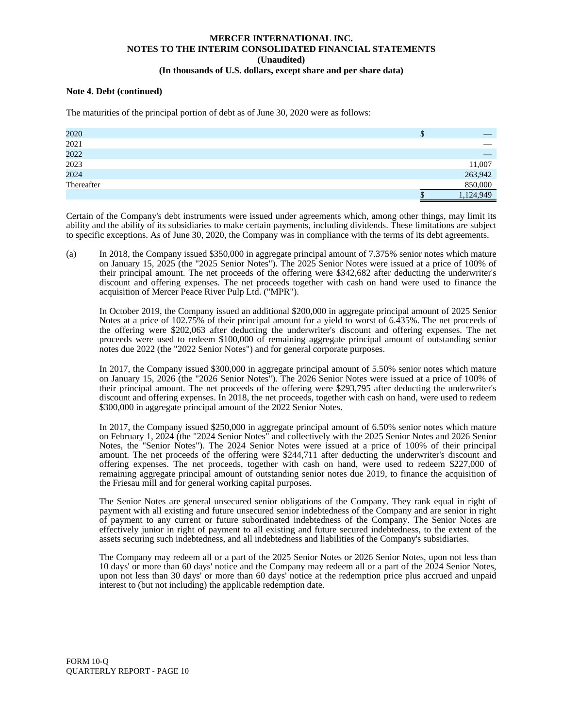#### **Note 4. Debt (continued)**

The maturities of the principal portion of debt as of June 30, 2020 were as follows:

| 2020       | D         |
|------------|-----------|
| 2021       |           |
| 2022       |           |
| 2023       | 11,007    |
| 2024       | 263,942   |
| Thereafter | 850,000   |
|            | 1,124,949 |

Certain of the Company's debt instruments were issued under agreements which, among other things, may limit its ability and the ability of its subsidiaries to make certain payments, including dividends. These limitations are subject to specific exceptions. As of June 30, 2020, the Company was in compliance with the terms of its debt agreements.

(a) In 2018, the Company issued \$350,000 in aggregate principal amount of 7.375% senior notes which mature on January 15, 2025 (the "2025 Senior Notes"). The 2025 Senior Notes were issued at a price of 100% of their principal amount. The net proceeds of the offering were \$342,682 after deducting the underwriter's discount and offering expenses. The net proceeds together with cash on hand were used to finance the acquisition of Mercer Peace River Pulp Ltd. ("MPR").

In October 2019, the Company issued an additional \$200,000 in aggregate principal amount of 2025 Senior Notes at a price of 102.75% of their principal amount for a yield to worst of 6.435%. The net proceeds of the offering were \$202,063 after deducting the underwriter's discount and offering expenses. The net proceeds were used to redeem \$100,000 of remaining aggregate principal amount of outstanding senior notes due 2022 (the "2022 Senior Notes") and for general corporate purposes.

In 2017, the Company issued \$300,000 in aggregate principal amount of 5.50% senior notes which mature on January 15, 2026 (the "2026 Senior Notes"). The 2026 Senior Notes were issued at a price of 100% of their principal amount. The net proceeds of the offering were \$293,795 after deducting the underwriter's discount and offering expenses. In 2018, the net proceeds, together with cash on hand, were used to redeem \$300,000 in aggregate principal amount of the 2022 Senior Notes.

In 2017, the Company issued \$250,000 in aggregate principal amount of 6.50% senior notes which mature on February 1, 2024 (the "2024 Senior Notes" and collectively with the 2025 Senior Notes and 2026 Senior Notes, the "Senior Notes"). The 2024 Senior Notes were issued at a price of 100% of their principal amount. The net proceeds of the offering were \$244,711 after deducting the underwriter's discount and offering expenses. The net proceeds, together with cash on hand, were used to redeem \$227,000 of remaining aggregate principal amount of outstanding senior notes due 2019, to finance the acquisition of the Friesau mill and for general working capital purposes.

The Senior Notes are general unsecured senior obligations of the Company. They rank equal in right of payment with all existing and future unsecured senior indebtedness of the Company and are senior in right of payment to any current or future subordinated indebtedness of the Company. The Senior Notes are effectively junior in right of payment to all existing and future secured indebtedness, to the extent of the assets securing such indebtedness, and all indebtedness and liabilities of the Company's subsidiaries.

The Company may redeem all or a part of the 2025 Senior Notes or 2026 Senior Notes, upon not less than 10 days' or more than 60 days' notice and the Company may redeem all or a part of the 2024 Senior Notes, upon not less than 30 days' or more than 60 days' notice at the redemption price plus accrued and unpaid interest to (but not including) the applicable redemption date.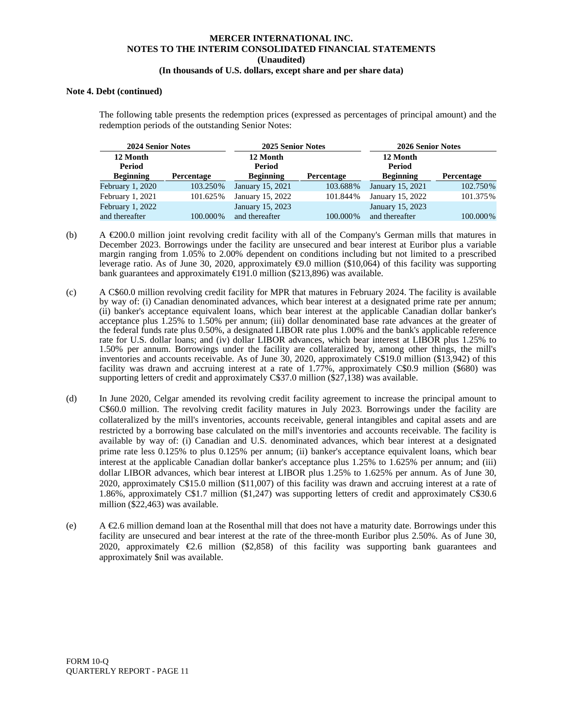#### **Note 4. Debt (continued)**

The following table presents the redemption prices (expressed as percentages of principal amount) and the redemption periods of the outstanding Senior Notes:

| 2024 Senior Notes |                   | 2025 Senior Notes |            | 2026 Senior Notes |            |  |  |  |  |
|-------------------|-------------------|-------------------|------------|-------------------|------------|--|--|--|--|
| 12 Month          |                   | 12 Month          |            | 12 Month          |            |  |  |  |  |
| Period            |                   | Period            |            | Period            |            |  |  |  |  |
| <b>Beginning</b>  | <b>Percentage</b> | <b>Beginning</b>  | Percentage | <b>Beginning</b>  | Percentage |  |  |  |  |
| February 1, 2020  | 103.250\%         | January 15, 2021  | 103.688%   | January 15, 2021  | 102.750\%  |  |  |  |  |
| February 1, 2021  | 101.625%          | January 15, 2022  | 101.844%   | January 15, 2022  | 101.375%   |  |  |  |  |
| February 1, 2022  |                   | January 15, 2023  |            | January 15, 2023  |            |  |  |  |  |
| and thereafter    | 100.000%          | and thereafter    | 100.000%   | and thereafter    | 100.000%   |  |  |  |  |

- (b) A  $\epsilon$ 200.0 million joint revolving credit facility with all of the Company's German mills that matures in December 2023. Borrowings under the facility are unsecured and bear interest at Euribor plus a variable margin ranging from 1.05% to 2.00% dependent on conditions including but not limited to a prescribed leverage ratio. As of June 30, 2020, approximately  $\epsilon$ 9.0 million (\$10,064) of this facility was supporting bank guarantees and approximately  $\epsilon$ 191.0 million (\$213,896) was available.
- (c) A C\$60.0 million revolving credit facility for MPR that matures in February 2024. The facility is available by way of: (i) Canadian denominated advances, which bear interest at a designated prime rate per annum; (ii) banker's acceptance equivalent loans, which bear interest at the applicable Canadian dollar banker's acceptance plus 1.25% to 1.50% per annum; (iii) dollar denominated base rate advances at the greater of the federal funds rate plus 0.50%, a designated LIBOR rate plus 1.00% and the bank's applicable reference rate for U.S. dollar loans; and (iv) dollar LIBOR advances, which bear interest at LIBOR plus 1.25% to 1.50% per annum. Borrowings under the facility are collateralized by, among other things, the mill's inventories and accounts receivable. As of June 30, 2020, approximately C\$19.0 million (\$13,942) of this facility was drawn and accruing interest at a rate of  $1.77\%$ , approximately C\$0.9 million (\$680) was supporting letters of credit and approximately C\$37.0 million (\$27,138) was available.
- (d) In June 2020, Celgar amended its revolving credit facility agreement to increase the principal amount to C\$60.0 million. The revolving credit facility matures in July 2023. Borrowings under the facility are collateralized by the mill's inventories, accounts receivable, general intangibles and capital assets and are restricted by a borrowing base calculated on the mill's inventories and accounts receivable. The facility is available by way of: (i) Canadian and U.S. denominated advances, which bear interest at a designated prime rate less 0.125% to plus 0.125% per annum; (ii) banker's acceptance equivalent loans, which bear interest at the applicable Canadian dollar banker's acceptance plus 1.25% to 1.625% per annum; and (iii) dollar LIBOR advances, which bear interest at LIBOR plus 1.25% to 1.625% per annum. As of June 30, 2020, approximately C\$15.0 million (\$11,007) of this facility was drawn and accruing interest at a rate of 1.86%, approximately C\$1.7 million (\$1,247) was supporting letters of credit and approximately C\$30.6 million (\$22,463) was available.
- (e) A  $\epsilon$ 2.6 million demand loan at the Rosenthal mill that does not have a maturity date. Borrowings under this facility are unsecured and bear interest at the rate of the three-month Euribor plus 2.50%. As of June 30, 2020, approximately  $\epsilon$ 2.6 million (\$2,858) of this facility was supporting bank guarantees and approximately \$nil was available.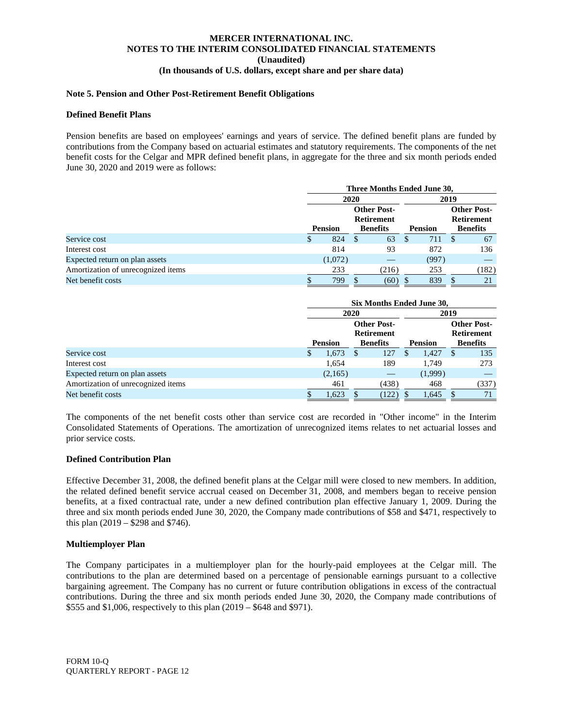#### **Note 5. Pension and Other Post-Retirement Benefit Obligations**

#### **Defined Benefit Plans**

Pension benefits are based on employees' earnings and years of service. The defined benefit plans are funded by contributions from the Company based on actuarial estimates and statutory requirements. The components of the net benefit costs for the Celgar and MPR defined benefit plans, in aggregate for the three and six month periods ended June 30, 2020 and 2019 were as follows:

|                                    | Three Months Ended June 30, |                                                                              |       |          |       |                                                            |       |  |
|------------------------------------|-----------------------------|------------------------------------------------------------------------------|-------|----------|-------|------------------------------------------------------------|-------|--|
|                                    | 2020                        |                                                                              |       |          | 2019  |                                                            |       |  |
|                                    | <b>Pension</b>              | <b>Other Post-</b><br><b>Retirement</b><br><b>Pension</b><br><b>Benefits</b> |       |          |       | <b>Other Post-</b><br><b>Retirement</b><br><b>Benefits</b> |       |  |
| Service cost                       | \$<br>824                   | <sup>\$</sup>                                                                | 63    | <b>S</b> | 711   | S                                                          | 67    |  |
| Interest cost                      | 814                         |                                                                              | 93    |          | 872   |                                                            | 136   |  |
| Expected return on plan assets     | (1,072)                     |                                                                              |       |          | (997) |                                                            |       |  |
| Amortization of unrecognized items | 233                         |                                                                              | (216) |          | 253   |                                                            | (182) |  |
| Net benefit costs                  | 799                         |                                                                              | (60)  |          | 839   |                                                            | 21    |  |

|                                    | Six Months Ended June 30, |                                                            |       |   |                |              |       |  |                                                            |  |  |
|------------------------------------|---------------------------|------------------------------------------------------------|-------|---|----------------|--------------|-------|--|------------------------------------------------------------|--|--|
|                                    | 2020                      |                                                            |       |   | 2019           |              |       |  |                                                            |  |  |
|                                    | <b>Pension</b>            | <b>Other Post-</b><br><b>Retirement</b><br><b>Benefits</b> |       |   | <b>Pension</b> |              |       |  | <b>Other Post-</b><br><b>Retirement</b><br><b>Benefits</b> |  |  |
| Service cost                       | \$<br>1,673               | S                                                          | 127   | S | 1,427          | <sup>8</sup> | 135   |  |                                                            |  |  |
| Interest cost                      | 1,654                     |                                                            | 189   |   | 1,749          |              | 273   |  |                                                            |  |  |
| Expected return on plan assets     | (2,165)                   |                                                            |       |   | (1,999)        |              |       |  |                                                            |  |  |
| Amortization of unrecognized items | 461                       |                                                            | (438) |   | 468            |              | (337) |  |                                                            |  |  |
| Net benefit costs                  | 1.623                     |                                                            | (122) |   | 1,645          |              | 71    |  |                                                            |  |  |

The components of the net benefit costs other than service cost are recorded in "Other income" in the Interim Consolidated Statements of Operations. The amortization of unrecognized items relates to net actuarial losses and prior service costs.

#### **Defined Contribution Plan**

Effective December 31, 2008, the defined benefit plans at the Celgar mill were closed to new members. In addition, the related defined benefit service accrual ceased on December 31, 2008, and members began to receive pension benefits, at a fixed contractual rate, under a new defined contribution plan effective January 1, 2009. During the three and six month periods ended June 30, 2020, the Company made contributions of \$58 and \$471, respectively to this plan (2019 – \$298 and \$746).

#### **Multiemployer Plan**

The Company participates in a multiemployer plan for the hourly-paid employees at the Celgar mill. The contributions to the plan are determined based on a percentage of pensionable earnings pursuant to a collective bargaining agreement. The Company has no current or future contribution obligations in excess of the contractual contributions. During the three and six month periods ended June 30, 2020, the Company made contributions of \$555 and \$1,006, respectively to this plan (2019 – \$648 and \$971).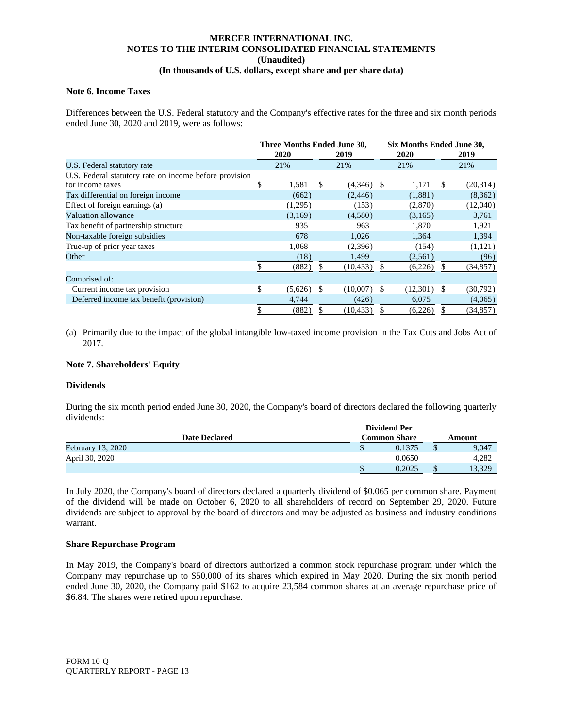#### **Note 6. Income Taxes**

Differences between the U.S. Federal statutory and the Company's effective rates for the three and six month periods ended June 30, 2020 and 2019, were as follows:

|                                                        | Three Months Ended June 30.<br><b>Six Months Ended June 30.</b> |              |               |               |  |               |     |           |
|--------------------------------------------------------|-----------------------------------------------------------------|--------------|---------------|---------------|--|---------------|-----|-----------|
|                                                        |                                                                 | 2020         |               | 2019          |  | <b>2020</b>   |     | 2019      |
| U.S. Federal statutory rate                            |                                                                 | 21%          |               | 21%           |  | 21%           |     | 21%       |
| U.S. Federal statutory rate on income before provision |                                                                 |              |               |               |  |               |     |           |
| for income taxes                                       | \$                                                              | 1,581        | <sup>\$</sup> | $(4,346)$ \$  |  | 1,171         | S   | (20,314)  |
| Tax differential on foreign income                     |                                                                 | (662)        |               | (2,446)       |  | (1,881)       |     | (8,362)   |
| Effect of foreign earnings (a)                         |                                                                 | (1,295)      |               | (153)         |  | (2,870)       |     | (12,040)  |
| Valuation allowance                                    |                                                                 | (3,169)      |               | (4,580)       |  | (3,165)       |     | 3,761     |
| Tax benefit of partnership structure                   |                                                                 | 935          |               | 963           |  | 1,870         |     | 1,921     |
| Non-taxable foreign subsidies                          |                                                                 | 678          |               | 1,026         |  | 1,364         |     | 1,394     |
| True-up of prior year taxes                            |                                                                 | 1,068        |               | (2,396)       |  | (154)         |     | (1,121)   |
| Other                                                  |                                                                 | (18)         |               | 1,499         |  | (2,561)       |     | (96)      |
|                                                        |                                                                 | (882)        |               | (10, 433)     |  | (6,226)       |     | (34, 857) |
| Comprised of:                                          |                                                                 |              |               |               |  |               |     |           |
| Current income tax provision                           | \$                                                              | $(5,626)$ \$ |               | $(10,007)$ \$ |  | $(12,301)$ \$ |     | (30,792)  |
| Deferred income tax benefit (provision)                |                                                                 | 4,744        |               | (426)         |  | 6,075         |     | (4,065)   |
|                                                        |                                                                 | (882)        | \$            | (10, 433)     |  | (6,226)       | \$. | (34, 857) |

(a) Primarily due to the impact of the global intangible low-taxed income provision in the Tax Cuts and Jobs Act of 2017.

#### **Note 7. Shareholders' Equity**

#### **Dividends**

During the six month period ended June 30, 2020, the Company's board of directors declared the following quarterly dividends:

|                          | <b>Dividend Per</b> |   |        |  |  |
|--------------------------|---------------------|---|--------|--|--|
| <b>Date Declared</b>     | <b>Common Share</b> |   | Amount |  |  |
| <b>February 13, 2020</b> | 0.1375              |   | 9,047  |  |  |
| April 30, 2020           | 0.0650              |   | 4.282  |  |  |
|                          | 0.2025              | Φ | 13,329 |  |  |

In July 2020, the Company's board of directors declared a quarterly dividend of \$0.065 per common share. Payment of the dividend will be made on October 6, 2020 to all shareholders of record on September 29, 2020. Future dividends are subject to approval by the board of directors and may be adjusted as business and industry conditions warrant.

#### **Share Repurchase Program**

In May 2019, the Company's board of directors authorized a common stock repurchase program under which the Company may repurchase up to \$50,000 of its shares which expired in May 2020. During the six month period ended June 30, 2020, the Company paid \$162 to acquire 23,584 common shares at an average repurchase price of \$6.84. The shares were retired upon repurchase.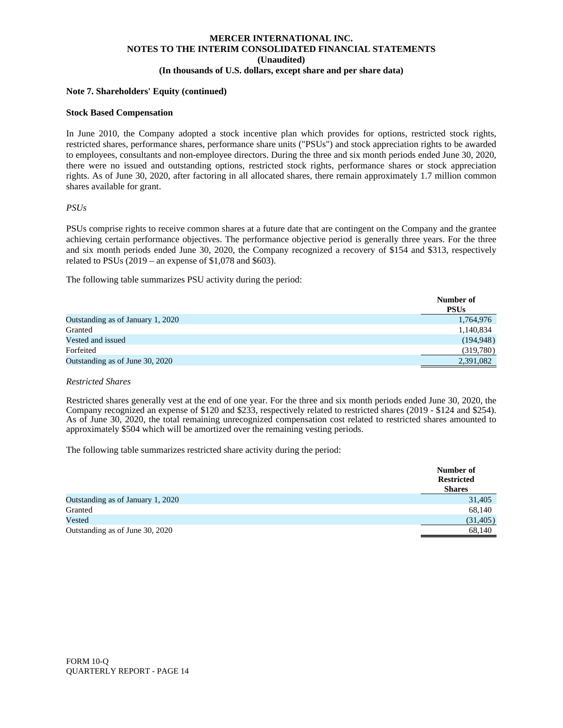#### **Note 7. Shareholders' Equity (continued)**

#### **Stock Based Compensation**

In June 2010, the Company adopted a stock incentive plan which provides for options, restricted stock rights, restricted shares, performance shares, performance share units ("PSUs") and stock appreciation rights to be awarded to employees, consultants and non-employee directors. During the three and six month periods ended June 30, 2020, there were no issued and outstanding options, restricted stock rights, performance shares or stock appreciation rights. As of June 30, 2020, after factoring in all allocated shares, there remain approximately 1.7 million common shares available for grant.

#### *PSUs*

PSUs comprise rights to receive common shares at a future date that are contingent on the Company and the grantee achieving certain performance objectives. The performance objective period is generally three years. For the three and six month periods ended June 30, 2020, the Company recognized a recovery of \$154 and \$313, respectively related to PSUs  $(2019 - an$  expense of \$1,078 and \$603).

The following table summarizes PSU activity during the period:

|                                   | Number of<br><b>PSUs</b> |
|-----------------------------------|--------------------------|
| Outstanding as of January 1, 2020 | 1,764,976                |
| Granted                           | 1,140,834                |
| Vested and issued                 | (194, 948)               |
| Forfeited                         | (319,780)                |
| Outstanding as of June 30, 2020   | 2,391,082                |

#### *Restricted Shares*

Restricted shares generally vest at the end of one year. For the three and six month periods ended June 30, 2020, the Company recognized an expense of \$120 and \$233, respectively related to restricted shares (2019 - \$124 and \$254). As of June 30, 2020, the total remaining unrecognized compensation cost related to restricted shares amounted to approximately \$504 which will be amortized over the remaining vesting periods.

The following table summarizes restricted share activity during the period:

|                                   | Number of<br><b>Restricted</b><br><b>Shares</b> |
|-----------------------------------|-------------------------------------------------|
| Outstanding as of January 1, 2020 | 31,405                                          |
| Granted                           | 68,140                                          |
| Vested                            | (31, 405)                                       |
| Outstanding as of June 30, 2020   | 68,140                                          |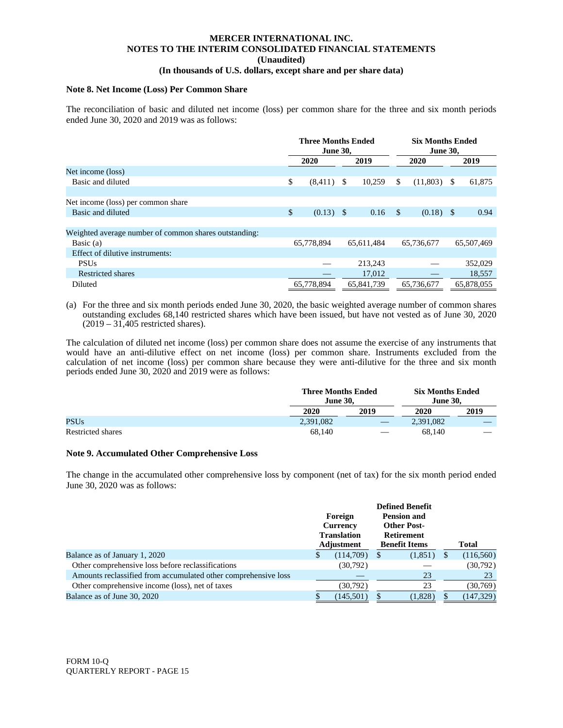# **MERCER INTERNATIONAL INC. NOTES TO THE INTERIM CONSOLIDATED FINANCIAL STATEMENTS (Unaudited)**

# **(In thousands of U.S. dollars, except share and per share data)**

#### **Note 8. Net Income (Loss) Per Common Share**

The reconciliation of basic and diluted net income (loss) per common share for the three and six month periods ended June 30, 2020 and 2019 was as follows:

|                                                       | <b>Three Months Ended</b><br><b>June 30.</b> |             |    |            | <b>Six Months Ended</b><br><b>June 30.</b> |               |  |            |
|-------------------------------------------------------|----------------------------------------------|-------------|----|------------|--------------------------------------------|---------------|--|------------|
|                                                       |                                              | 2020        |    | 2019       |                                            | 2020          |  | 2019       |
| Net income (loss)                                     |                                              |             |    |            |                                            |               |  |            |
| Basic and diluted                                     | \$                                           | (8, 411)    | \$ | 10,259     | \$                                         | $(11,803)$ \$ |  | 61,875     |
|                                                       |                                              |             |    |            |                                            |               |  |            |
| Net income (loss) per common share                    |                                              |             |    |            |                                            |               |  |            |
| Basic and diluted                                     | $\mathbb{S}$                                 | $(0.13)$ \$ |    | 0.16       | $\mathbb{S}$                               | $(0.18)$ \$   |  | 0.94       |
|                                                       |                                              |             |    |            |                                            |               |  |            |
| Weighted average number of common shares outstanding: |                                              |             |    |            |                                            |               |  |            |
| Basic $(a)$                                           |                                              | 65,778,894  |    | 65,611,484 |                                            | 65,736,677    |  | 65,507,469 |
| Effect of dilutive instruments:                       |                                              |             |    |            |                                            |               |  |            |
| <b>PSUs</b>                                           |                                              |             |    | 213.243    |                                            |               |  | 352,029    |
| <b>Restricted shares</b>                              |                                              |             |    | 17,012     |                                            |               |  | 18,557     |
| Diluted                                               |                                              | 65,778,894  |    | 65,841,739 |                                            | 65,736,677    |  | 65,878,055 |

(a) For the three and six month periods ended June 30, 2020, the basic weighted average number of common shares outstanding excludes 68,140 restricted shares which have been issued, but have not vested as of June 30, 2020  $(2019 - 31,405$  restricted shares).

The calculation of diluted net income (loss) per common share does not assume the exercise of any instruments that would have an anti-dilutive effect on net income (loss) per common share. Instruments excluded from the calculation of net income (loss) per common share because they were anti-dilutive for the three and six month periods ended June 30, 2020 and 2019 were as follows:

|                   | <b>Three Months Ended</b><br><b>June 30.</b> |      | <b>Six Months Ended</b><br><b>June 30.</b> |                          |  |
|-------------------|----------------------------------------------|------|--------------------------------------------|--------------------------|--|
|                   | 2020                                         | 2019 | 2020                                       | 2019                     |  |
| <b>PSUs</b>       | 2,391,082                                    |      | 2,391,082                                  |                          |  |
| Restricted shares | 68.140                                       |      | 68.140                                     | $\overline{\phantom{a}}$ |  |

#### **Note 9. Accumulated Other Comprehensive Loss**

The change in the accumulated other comprehensive loss by component (net of tax) for the six month period ended June 30, 2020 was as follows:

|                                                                |     |                                                                                                                   |               | <b>Defined Benefit</b> |            |  |
|----------------------------------------------------------------|-----|-------------------------------------------------------------------------------------------------------------------|---------------|------------------------|------------|--|
|                                                                |     | <b>Pension and</b><br>Foreign<br><b>Other Post-</b><br><b>Currency</b><br><b>Translation</b><br><b>Retirement</b> |               |                        |            |  |
|                                                                |     | Adjustment                                                                                                        |               | <b>Benefit Items</b>   | Total      |  |
| Balance as of January 1, 2020                                  | \$. | (114,709)                                                                                                         | <sup>\$</sup> | (1,851)                | (116,560)  |  |
| Other comprehensive loss before reclassifications              |     | (30, 792)                                                                                                         |               |                        | (30, 792)  |  |
| Amounts reclassified from accumulated other comprehensive loss |     |                                                                                                                   |               | 23                     | 23         |  |
| Other comprehensive income (loss), net of taxes                |     | (30,792)                                                                                                          |               | 23                     | (30,769)   |  |
| Balance as of June 30, 2020                                    |     | (145, 501)                                                                                                        |               | (1,828)                | (147, 329) |  |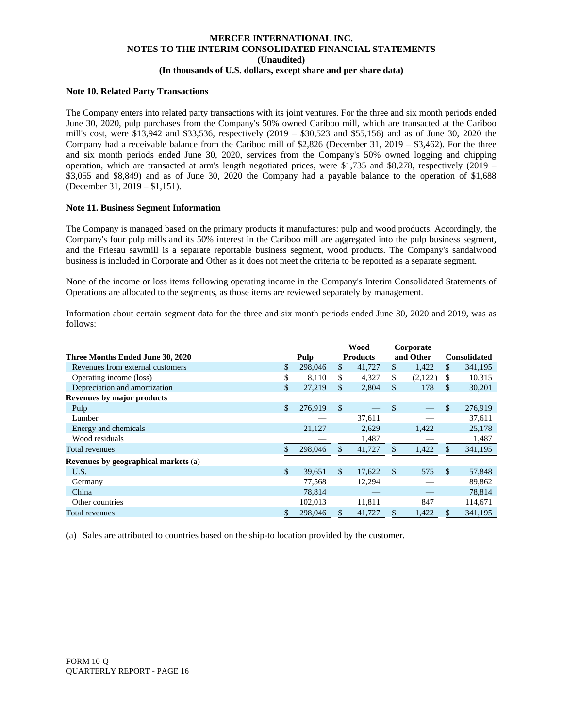#### **Note 10. Related Party Transactions**

The Company enters into related party transactions with its joint ventures. For the three and six month periods ended June 30, 2020, pulp purchases from the Company's 50% owned Cariboo mill, which are transacted at the Cariboo mill's cost, were \$13,942 and \$33,536, respectively (2019 – \$30,523 and \$55,156) and as of June 30, 2020 the Company had a receivable balance from the Cariboo mill of \$2,826 (December 31, 2019 – \$3,462). For the three and six month periods ended June 30, 2020, services from the Company's 50% owned logging and chipping operation, which are transacted at arm's length negotiated prices, were \$1,735 and \$8,278, respectively (2019 – \$3,055 and \$8,849) and as of June 30, 2020 the Company had a payable balance to the operation of \$1,688 (December 31, 2019 – \$1,151).

#### **Note 11. Business Segment Information**

The Company is managed based on the primary products it manufactures: pulp and wood products. Accordingly, the Company's four pulp mills and its 50% interest in the Cariboo mill are aggregated into the pulp business segment, and the Friesau sawmill is a separate reportable business segment, wood products. The Company's sandalwood business is included in Corporate and Other as it does not meet the criteria to be reported as a separate segment.

None of the income or loss items following operating income in the Company's Interim Consolidated Statements of Operations are allocated to the segments, as those items are reviewed separately by management.

Information about certain segment data for the three and six month periods ended June 30, 2020 and 2019, was as follows:

|                                             |               |         | Wood          |                 |               | Corporate |    |                     |
|---------------------------------------------|---------------|---------|---------------|-----------------|---------------|-----------|----|---------------------|
| Three Months Ended June 30, 2020            |               | Pulp    |               | <b>Products</b> |               | and Other |    | <b>Consolidated</b> |
| Revenues from external customers            | \$            | 298,046 | \$.           | 41,727          | \$            | 1.422     | \$ | 341,195             |
| Operating income (loss)                     | \$            | 8,110   | \$            | 4,327           | \$            | (2,122)   | S  | 10,315              |
| Depreciation and amortization               | \$            | 27,219  | \$            | 2,804           | \$.           | 178       | \$ | 30,201              |
| Revenues by major products                  |               |         |               |                 |               |           |    |                     |
| Pulp                                        | $\mathcal{S}$ | 276,919 | $\mathcal{S}$ |                 | $\mathbb{S}$  |           | \$ | 276,919             |
| Lumber                                      |               |         |               | 37,611          |               |           |    | 37,611              |
| Energy and chemicals                        |               | 21,127  |               | 2,629           |               | 1,422     |    | 25,178              |
| Wood residuals                              |               |         |               | 1,487           |               |           |    | 1,487               |
| Total revenues                              | \$            | 298,046 |               | 41,727          |               | 1,422     | \$ | 341,195             |
| <b>Revenues by geographical markets (a)</b> |               |         |               |                 |               |           |    |                     |
| U.S.                                        | \$            | 39.651  | <sup>\$</sup> | 17,622          | <sup>\$</sup> | 575       | \$ | 57,848              |
| Germany                                     |               | 77,568  |               | 12,294          |               |           |    | 89,862              |
| China                                       |               | 78,814  |               |                 |               |           |    | 78,814              |
| Other countries                             |               | 102,013 |               | 11,811          |               | 847       |    | 114,671             |
| Total revenues                              |               | 298,046 | \$.           | 41,727          |               | 1,422     | \$ | 341,195             |

(a) Sales are attributed to countries based on the ship-to location provided by the customer.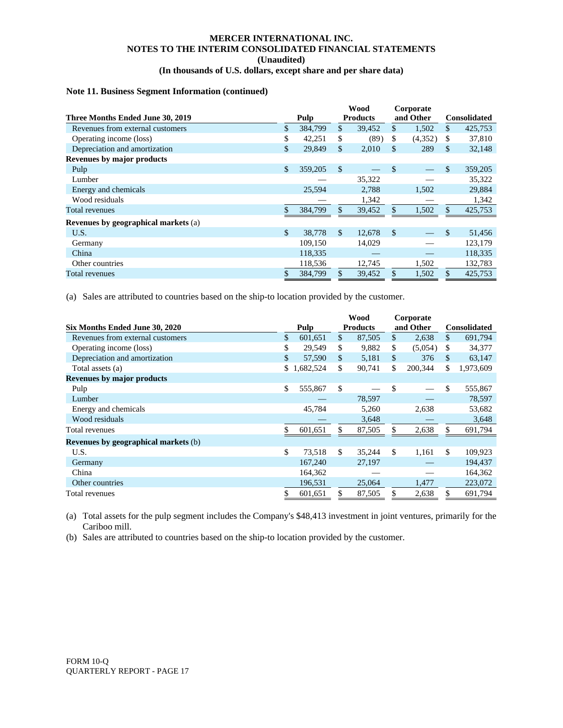## **Note 11. Business Segment Information (continued)**

|                                             |              |         | Wood |                 |              | Corporate |                     |         |
|---------------------------------------------|--------------|---------|------|-----------------|--------------|-----------|---------------------|---------|
| Three Months Ended June 30, 2019            |              | Pulp    |      | <b>Products</b> |              | and Other | <b>Consolidated</b> |         |
| Revenues from external customers            | \$           | 384,799 | \$   | 39,452          | \$.          | 1,502     | \$                  | 425,753 |
| Operating income (loss)                     | \$           | 42,251  | \$   | (89)            | \$           | (4,352)   | \$                  | 37,810  |
| Depreciation and amortization               | \$           | 29,849  | \$   | 2,010           | \$           | 289       | \$                  | 32,148  |
| Revenues by major products                  |              |         |      |                 |              |           |                     |         |
| Pulp                                        | $\mathbb{S}$ | 359,205 | \$   |                 | $\mathbb{S}$ |           | $\mathbb{S}$        | 359,205 |
| Lumber                                      |              |         |      | 35.322          |              |           |                     | 35,322  |
| Energy and chemicals                        |              | 25.594  |      | 2,788           |              | 1,502     |                     | 29,884  |
| Wood residuals                              |              |         |      | 1,342           |              |           |                     | 1,342   |
| Total revenues                              |              | 384,799 | \$   | 39,452          |              | 1,502     | \$                  | 425,753 |
| <b>Revenues by geographical markets (a)</b> |              |         |      |                 |              |           |                     |         |
| U.S.                                        | $\mathbb{S}$ | 38,778  | \$   | 12,678          | $\mathbb{S}$ |           | \$                  | 51,456  |
| Germany                                     |              | 109,150 |      | 14,029          |              |           |                     | 123,179 |
| China                                       |              | 118,335 |      |                 |              |           |                     | 118,335 |
| Other countries                             |              | 118,536 |      | 12,745          |              | 1,502     |                     | 132,783 |
| Total revenues                              | \$           | 384,799 | \$   | 39,452          |              | 1,502     | \$                  | 425,753 |

(a) Sales are attributed to countries based on the ship-to location provided by the customer.

|                                             |      |             | Wood            |        | Corporate |         |                     |           |  |
|---------------------------------------------|------|-------------|-----------------|--------|-----------|---------|---------------------|-----------|--|
| Six Months Ended June 30, 2020              | Pulp |             | <b>Products</b> |        | and Other |         | <b>Consolidated</b> |           |  |
| Revenues from external customers            | \$   | 601,651     | \$.             | 87,505 | \$.       | 2,638   | \$                  | 691,794   |  |
| Operating income (loss)                     | \$   | 29,549      | \$              | 9,882  | \$        | (5,054) | \$                  | 34,377    |  |
| Depreciation and amortization               | \$   | 57,590      | $\mathbb{S}$    | 5,181  | \$        | 376     | \$                  | 63,147    |  |
| Total assets (a)                            |      | \$1,682,524 | \$              | 90,741 | \$        | 200,344 | \$                  | 1,973,609 |  |
| <b>Revenues by major products</b>           |      |             |                 |        |           |         |                     |           |  |
| Pulp                                        | \$   | 555,867     | \$              |        | \$        |         | \$                  | 555,867   |  |
| Lumber                                      |      |             |                 | 78,597 |           |         |                     | 78,597    |  |
| Energy and chemicals                        |      | 45,784      |                 | 5,260  |           | 2,638   |                     | 53,682    |  |
| Wood residuals                              |      |             |                 | 3,648  |           |         |                     | 3,648     |  |
| Total revenues                              |      | 601,651     | S.              | 87,505 |           | 2,638   | \$                  | 691,794   |  |
| <b>Revenues by geographical markets (b)</b> |      |             |                 |        |           |         |                     |           |  |
| U.S.                                        | \$   | 73,518      | \$.             | 35,244 | \$        | 1,161   | \$                  | 109,923   |  |
| Germany                                     |      | 167,240     |                 | 27,197 |           |         |                     | 194,437   |  |
| China                                       |      | 164,362     |                 |        |           |         |                     | 164,362   |  |
| Other countries                             |      | 196,531     |                 | 25,064 |           | 1,477   |                     | 223,072   |  |
| Total revenues                              |      | 601,651     |                 | 87,505 |           | 2,638   |                     | 691,794   |  |

(a) Total assets for the pulp segment includes the Company's \$48,413 investment in joint ventures, primarily for the Cariboo mill.

(b) Sales are attributed to countries based on the ship-to location provided by the customer.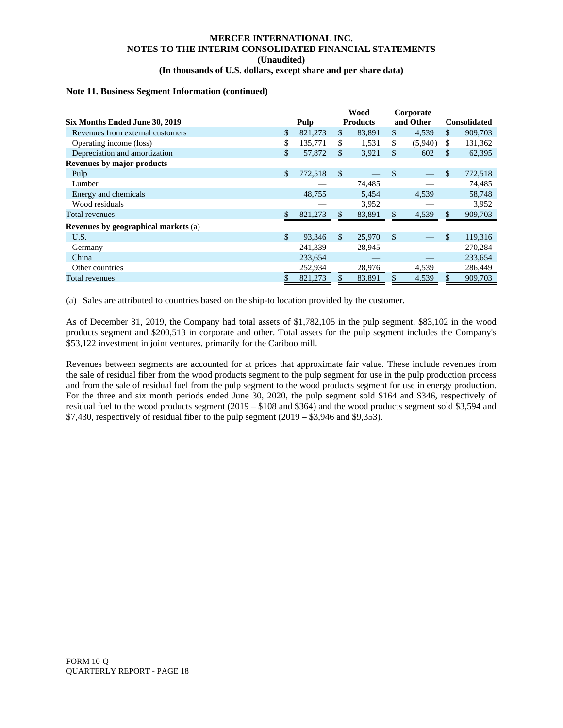#### **Note 11. Business Segment Information (continued)**

|                                             |      |         |                 | <b>Wood</b> |               | Corporate |                     |         |
|---------------------------------------------|------|---------|-----------------|-------------|---------------|-----------|---------------------|---------|
| Six Months Ended June 30, 2019              | Pulp |         | <b>Products</b> |             | and Other     |           | <b>Consolidated</b> |         |
| Revenues from external customers            | \$   | 821,273 | \$              | 83,891      | \$            | 4,539     | $\mathcal{S}$       | 909,703 |
| Operating income (loss)                     | \$   | 135,771 | \$              | 1,531       | \$            | (5,940)   | \$                  | 131,362 |
| Depreciation and amortization               | \$   | 57,872  | \$              | 3,921       | \$            | 602       | \$                  | 62,395  |
| Revenues by major products                  |      |         |                 |             |               |           |                     |         |
| Pulp                                        | \$   | 772,518 | $\mathbb{S}$    |             | <sup>\$</sup> |           | $\mathcal{S}$       | 772,518 |
| Lumber                                      |      |         |                 | 74.485      |               |           |                     | 74,485  |
| Energy and chemicals                        |      | 48.755  |                 | 5,454       |               | 4,539     |                     | 58,748  |
| Wood residuals                              |      |         |                 | 3,952       |               |           |                     | 3,952   |
| Total revenues                              |      | 821,273 | \$              | 83,891      |               | 4,539     | \$                  | 909,703 |
| <b>Revenues by geographical markets (a)</b> |      |         |                 |             |               |           |                     |         |
| U.S.                                        | \$   | 93.346  | $\mathcal{S}$   | 25,970      | $\mathbb{S}$  |           | \$                  | 119,316 |
| Germany                                     |      | 241.339 |                 | 28,945      |               |           |                     | 270,284 |
| China                                       |      | 233,654 |                 |             |               |           |                     | 233,654 |
| Other countries                             |      | 252,934 |                 | 28,976      |               | 4,539     |                     | 286,449 |
| Total revenues                              | S    | 821,273 | \$              | 83,891      |               | 4,539     | \$                  | 909,703 |

(a) Sales are attributed to countries based on the ship-to location provided by the customer.

As of December 31, 2019, the Company had total assets of \$1,782,105 in the pulp segment, \$83,102 in the wood products segment and \$200,513 in corporate and other. Total assets for the pulp segment includes the Company's \$53,122 investment in joint ventures, primarily for the Cariboo mill.

Revenues between segments are accounted for at prices that approximate fair value. These include revenues from the sale of residual fiber from the wood products segment to the pulp segment for use in the pulp production process and from the sale of residual fuel from the pulp segment to the wood products segment for use in energy production. For the three and six month periods ended June 30, 2020, the pulp segment sold \$164 and \$346, respectively of residual fuel to the wood products segment (2019 – \$108 and \$364) and the wood products segment sold \$3,594 and  $$7,430$ , respectively of residual fiber to the pulp segment  $(2019 - $3,946)$  and \$9,353).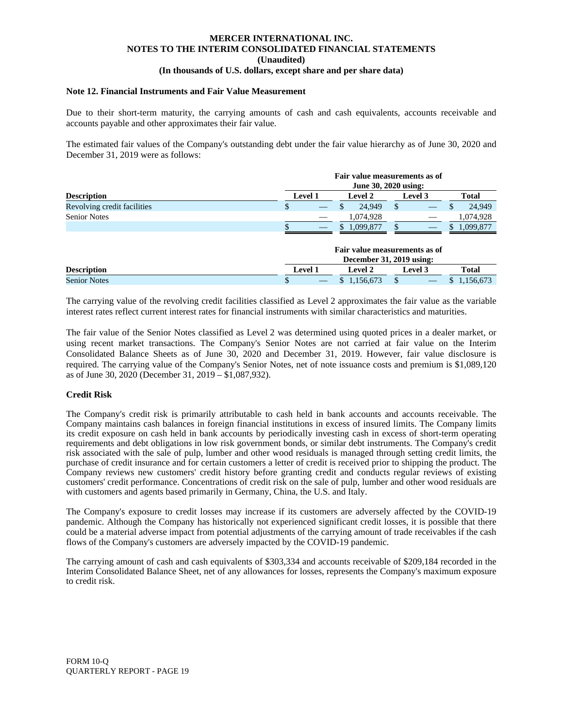#### **Note 12. Financial Instruments and Fair Value Measurement**

Due to their short-term maturity, the carrying amounts of cash and cash equivalents, accounts receivable and accounts payable and other approximates their fair value.

The estimated fair values of the Company's outstanding debt under the fair value hierarchy as of June 30, 2020 and December 31, 2019 were as follows:

|                             |                | Fair value measurements as of<br>June 30, 2020 using:     |         |              |  |  |  |  |  |
|-----------------------------|----------------|-----------------------------------------------------------|---------|--------------|--|--|--|--|--|
| <b>Description</b>          | <b>Level 1</b> | <b>Level 2</b><br>Total<br>Level 3                        |         |              |  |  |  |  |  |
| Revolving credit facilities | \$             | 24,949<br>S                                               | S       | 24,949       |  |  |  |  |  |
| <b>Senior Notes</b>         |                | 1,074,928                                                 |         | 1,074,928    |  |  |  |  |  |
|                             |                | 1,099,877                                                 |         | 1,099,877    |  |  |  |  |  |
|                             |                | Fair value measurements as of<br>December 31, 2019 using: |         |              |  |  |  |  |  |
| <b>Description</b>          | <b>Level 1</b> | Level 2                                                   | Level 3 | <b>Total</b> |  |  |  |  |  |

The carrying value of the revolving credit facilities classified as Level 2 approximates the fair value as the variable interest rates reflect current interest rates for financial instruments with similar characteristics and maturities.

Senior Notes \$ — \$ 1,156,673 \$ — \$ 1,156,673

The fair value of the Senior Notes classified as Level 2 was determined using quoted prices in a dealer market, or using recent market transactions. The Company's Senior Notes are not carried at fair value on the Interim Consolidated Balance Sheets as of June 30, 2020 and December 31, 2019. However, fair value disclosure is required. The carrying value of the Company's Senior Notes, net of note issuance costs and premium is \$1,089,120 as of June 30, 2020 (December 31, 2019 – \$1,087,932).

#### **Credit Risk**

The Company's credit risk is primarily attributable to cash held in bank accounts and accounts receivable. The Company maintains cash balances in foreign financial institutions in excess of insured limits. The Company limits its credit exposure on cash held in bank accounts by periodically investing cash in excess of short-term operating requirements and debt obligations in low risk government bonds, or similar debt instruments. The Company's credit risk associated with the sale of pulp, lumber and other wood residuals is managed through setting credit limits, the purchase of credit insurance and for certain customers a letter of credit is received prior to shipping the product. The Company reviews new customers' credit history before granting credit and conducts regular reviews of existing customers' credit performance. Concentrations of credit risk on the sale of pulp, lumber and other wood residuals are with customers and agents based primarily in Germany, China, the U.S. and Italy.

The Company's exposure to credit losses may increase if its customers are adversely affected by the COVID-19 pandemic. Although the Company has historically not experienced significant credit losses, it is possible that there could be a material adverse impact from potential adjustments of the carrying amount of trade receivables if the cash flows of the Company's customers are adversely impacted by the COVID-19 pandemic.

The carrying amount of cash and cash equivalents of \$303,334 and accounts receivable of \$209,184 recorded in the Interim Consolidated Balance Sheet, net of any allowances for losses, represents the Company's maximum exposure to credit risk.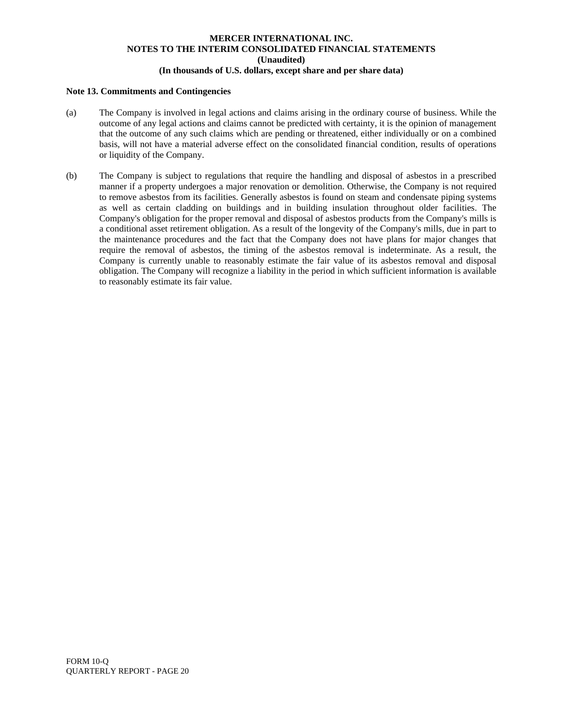#### **Note 13. Commitments and Contingencies**

- (a) The Company is involved in legal actions and claims arising in the ordinary course of business. While the outcome of any legal actions and claims cannot be predicted with certainty, it is the opinion of management that the outcome of any such claims which are pending or threatened, either individually or on a combined basis, will not have a material adverse effect on the consolidated financial condition, results of operations or liquidity of the Company.
- (b) The Company is subject to regulations that require the handling and disposal of asbestos in a prescribed manner if a property undergoes a major renovation or demolition. Otherwise, the Company is not required to remove asbestos from its facilities. Generally asbestos is found on steam and condensate piping systems as well as certain cladding on buildings and in building insulation throughout older facilities. The Company's obligation for the proper removal and disposal of asbestos products from the Company's mills is a conditional asset retirement obligation. As a result of the longevity of the Company's mills, due in part to the maintenance procedures and the fact that the Company does not have plans for major changes that require the removal of asbestos, the timing of the asbestos removal is indeterminate. As a result, the Company is currently unable to reasonably estimate the fair value of its asbestos removal and disposal obligation. The Company will recognize a liability in the period in which sufficient information is available to reasonably estimate its fair value.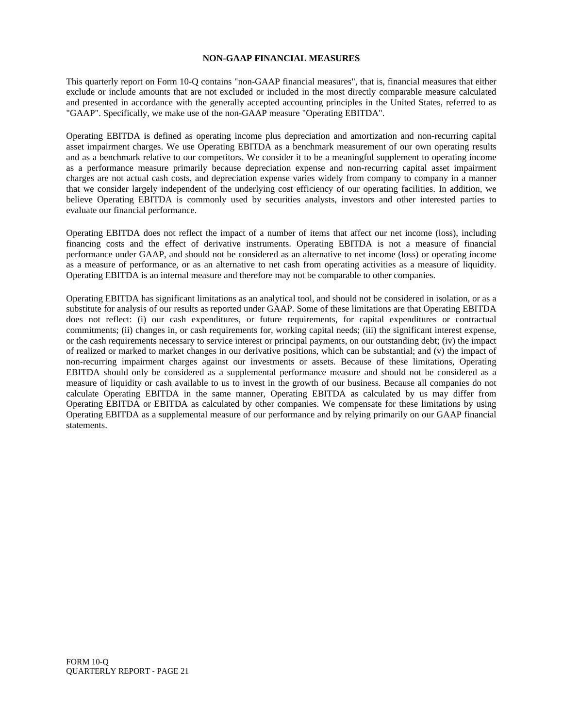#### **NON-GAAP FINANCIAL MEASURES**

This quarterly report on Form 10-Q contains "non-GAAP financial measures", that is, financial measures that either exclude or include amounts that are not excluded or included in the most directly comparable measure calculated and presented in accordance with the generally accepted accounting principles in the United States, referred to as "GAAP". Specifically, we make use of the non-GAAP measure "Operating EBITDA".

Operating EBITDA is defined as operating income plus depreciation and amortization and non-recurring capital asset impairment charges. We use Operating EBITDA as a benchmark measurement of our own operating results and as a benchmark relative to our competitors. We consider it to be a meaningful supplement to operating income as a performance measure primarily because depreciation expense and non-recurring capital asset impairment charges are not actual cash costs, and depreciation expense varies widely from company to company in a manner that we consider largely independent of the underlying cost efficiency of our operating facilities. In addition, we believe Operating EBITDA is commonly used by securities analysts, investors and other interested parties to evaluate our financial performance.

Operating EBITDA does not reflect the impact of a number of items that affect our net income (loss), including financing costs and the effect of derivative instruments. Operating EBITDA is not a measure of financial performance under GAAP, and should not be considered as an alternative to net income (loss) or operating income as a measure of performance, or as an alternative to net cash from operating activities as a measure of liquidity. Operating EBITDA is an internal measure and therefore may not be comparable to other companies.

Operating EBITDA has significant limitations as an analytical tool, and should not be considered in isolation, or as a substitute for analysis of our results as reported under GAAP. Some of these limitations are that Operating EBITDA does not reflect: (i) our cash expenditures, or future requirements, for capital expenditures or contractual commitments; (ii) changes in, or cash requirements for, working capital needs; (iii) the significant interest expense, or the cash requirements necessary to service interest or principal payments, on our outstanding debt; (iv) the impact of realized or marked to market changes in our derivative positions, which can be substantial; and (v) the impact of non-recurring impairment charges against our investments or assets. Because of these limitations, Operating EBITDA should only be considered as a supplemental performance measure and should not be considered as a measure of liquidity or cash available to us to invest in the growth of our business. Because all companies do not calculate Operating EBITDA in the same manner, Operating EBITDA as calculated by us may differ from Operating EBITDA or EBITDA as calculated by other companies. We compensate for these limitations by using Operating EBITDA as a supplemental measure of our performance and by relying primarily on our GAAP financial statements.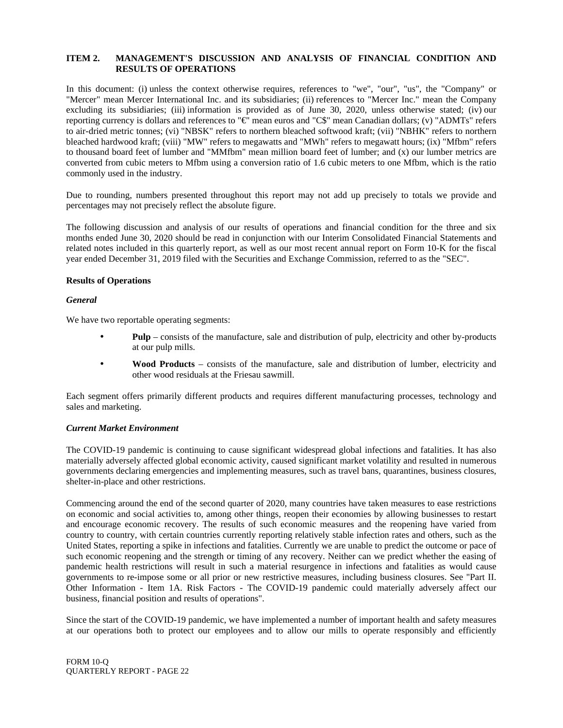# **ITEM 2. MANAGEMENT'S DISCUSSION AND ANALYSIS OF FINANCIAL CONDITION AND RESULTS OF OPERATIONS**

In this document: (i) unless the context otherwise requires, references to "we", "our", "us", the "Company" or "Mercer" mean Mercer International Inc. and its subsidiaries; (ii) references to "Mercer Inc." mean the Company excluding its subsidiaries; (iii) information is provided as of June 30, 2020, unless otherwise stated; (iv) our reporting currency is dollars and references to "€" mean euros and "C\$" mean Canadian dollars; (v) "ADMTs" refers to air-dried metric tonnes; (vi) "NBSK" refers to northern bleached softwood kraft; (vii) "NBHK" refers to northern bleached hardwood kraft; (viii) "MW" refers to megawatts and "MWh" refers to megawatt hours; (ix) "Mfbm" refers to thousand board feet of lumber and "MMfbm" mean million board feet of lumber; and (x) our lumber metrics are converted from cubic meters to Mfbm using a conversion ratio of 1.6 cubic meters to one Mfbm, which is the ratio commonly used in the industry.

Due to rounding, numbers presented throughout this report may not add up precisely to totals we provide and percentages may not precisely reflect the absolute figure.

The following discussion and analysis of our results of operations and financial condition for the three and six months ended June 30, 2020 should be read in conjunction with our Interim Consolidated Financial Statements and related notes included in this quarterly report, as well as our most recent annual report on Form 10-K for the fiscal year ended December 31, 2019 filed with the Securities and Exchange Commission, referred to as the "SEC".

#### **Results of Operations**

#### *General*

We have two reportable operating segments:

- **Pulp** consists of the manufacture, sale and distribution of pulp, electricity and other by-products at our pulp mills.
- **Wood Products** consists of the manufacture, sale and distribution of lumber, electricity and other wood residuals at the Friesau sawmill.

Each segment offers primarily different products and requires different manufacturing processes, technology and sales and marketing.

#### *Current Market Environment*

The COVID-19 pandemic is continuing to cause significant widespread global infections and fatalities. It has also materially adversely affected global economic activity, caused significant market volatility and resulted in numerous governments declaring emergencies and implementing measures, such as travel bans, quarantines, business closures, shelter-in-place and other restrictions.

Commencing around the end of the second quarter of 2020, many countries have taken measures to ease restrictions on economic and social activities to, among other things, reopen their economies by allowing businesses to restart and encourage economic recovery. The results of such economic measures and the reopening have varied from country to country, with certain countries currently reporting relatively stable infection rates and others, such as the United States, reporting a spike in infections and fatalities. Currently we are unable to predict the outcome or pace of such economic reopening and the strength or timing of any recovery. Neither can we predict whether the easing of pandemic health restrictions will result in such a material resurgence in infections and fatalities as would cause governments to re-impose some or all prior or new restrictive measures, including business closures. See "Part II. Other Information - Item 1A. Risk Factors - The COVID-19 pandemic could materially adversely affect our business, financial position and results of operations".

Since the start of the COVID-19 pandemic, we have implemented a number of important health and safety measures at our operations both to protect our employees and to allow our mills to operate responsibly and efficiently

FORM 10-Q QUARTERLY REPORT - PAGE 22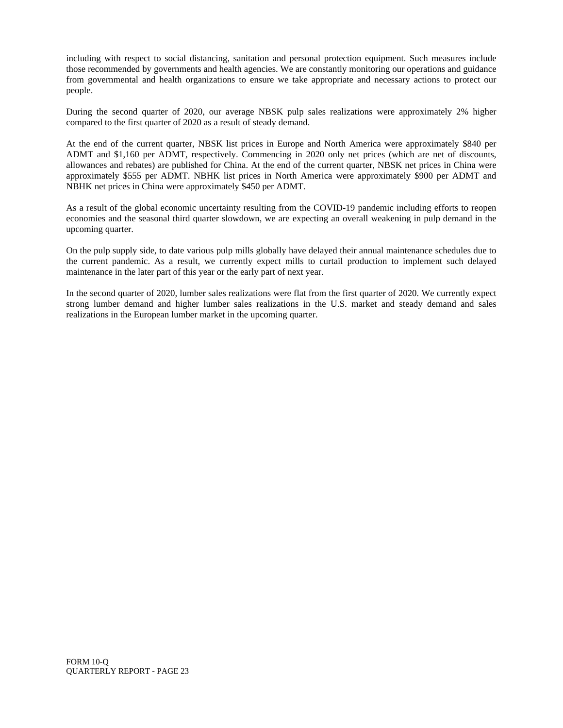including with respect to social distancing, sanitation and personal protection equipment. Such measures include those recommended by governments and health agencies. We are constantly monitoring our operations and guidance from governmental and health organizations to ensure we take appropriate and necessary actions to protect our people.

During the second quarter of 2020, our average NBSK pulp sales realizations were approximately 2% higher compared to the first quarter of 2020 as a result of steady demand.

At the end of the current quarter, NBSK list prices in Europe and North America were approximately \$840 per ADMT and \$1,160 per ADMT, respectively. Commencing in 2020 only net prices (which are net of discounts, allowances and rebates) are published for China. At the end of the current quarter, NBSK net prices in China were approximately \$555 per ADMT. NBHK list prices in North America were approximately \$900 per ADMT and NBHK net prices in China were approximately \$450 per ADMT.

As a result of the global economic uncertainty resulting from the COVID-19 pandemic including efforts to reopen economies and the seasonal third quarter slowdown, we are expecting an overall weakening in pulp demand in the upcoming quarter.

On the pulp supply side, to date various pulp mills globally have delayed their annual maintenance schedules due to the current pandemic. As a result, we currently expect mills to curtail production to implement such delayed maintenance in the later part of this year or the early part of next year.

In the second quarter of 2020, lumber sales realizations were flat from the first quarter of 2020. We currently expect strong lumber demand and higher lumber sales realizations in the U.S. market and steady demand and sales realizations in the European lumber market in the upcoming quarter.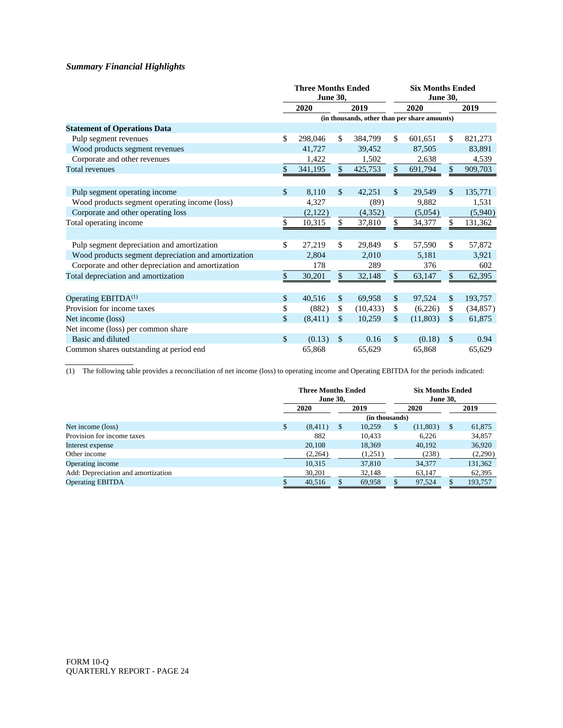# *Summary Financial Highlights*

|                                                     |              | <b>Three Months Ended</b><br><b>June 30,</b> |              |                                              | <b>Six Months Ended</b><br><b>June 30,</b> |          |               |           |
|-----------------------------------------------------|--------------|----------------------------------------------|--------------|----------------------------------------------|--------------------------------------------|----------|---------------|-----------|
|                                                     |              | 2020                                         |              | 2019                                         |                                            | 2020     | 2019          |           |
|                                                     |              |                                              |              | (in thousands, other than per share amounts) |                                            |          |               |           |
| <b>Statement of Operations Data</b>                 |              |                                              |              |                                              |                                            |          |               |           |
| Pulp segment revenues                               | \$           | 298,046                                      | \$           | 384,799                                      | \$                                         | 601.651  | \$            | 821,273   |
| Wood products segment revenues                      |              | 41.727                                       |              | 39,452                                       |                                            | 87,505   |               | 83,891    |
| Corporate and other revenues                        |              | 1,422                                        |              | 1,502                                        |                                            | 2,638    |               | 4,539     |
| Total revenues                                      | \$           | 341,195                                      | \$           | 425,753                                      | \$                                         | 691,794  | \$            | 909,703   |
|                                                     |              |                                              |              |                                              |                                            |          |               |           |
| Pulp segment operating income                       | $\sqrt{\ }$  | 8,110                                        | $\mathbb{S}$ | 42,251                                       | \$                                         | 29,549   | $\mathcal{S}$ | 135,771   |
| Wood products segment operating income (loss)       |              | 4,327                                        |              | (89)                                         |                                            | 9,882    |               | 1,531     |
| Corporate and other operating loss                  |              | (2,122)                                      |              | (4,352)                                      |                                            | (5,054)  |               | (5,940)   |
| Total operating income                              | \$           | 10,315                                       | \$           | 37,810                                       | S                                          | 34,377   | \$            | 131,362   |
|                                                     |              |                                              |              |                                              |                                            |          |               |           |
| Pulp segment depreciation and amortization          | \$           | 27,219                                       | \$           | 29,849                                       | \$                                         | 57,590   | \$            | 57,872    |
| Wood products segment depreciation and amortization |              | 2,804                                        |              | 2,010                                        |                                            | 5,181    |               | 3,921     |
| Corporate and other depreciation and amortization   |              | 178                                          |              | 289                                          |                                            | 376      |               | 602       |
| Total depreciation and amortization                 | \$           | 30,201                                       | \$           | 32,148                                       | $\sqrt{\ }$                                | 63,147   | \$            | 62,395    |
|                                                     |              |                                              |              |                                              |                                            |          |               |           |
| Operating EBITDA <sup>(1)</sup>                     | \$           | 40,516                                       | \$           | 69,958                                       | \$                                         | 97,524   | \$            | 193,757   |
| Provision for income taxes                          | \$           | (882)                                        | \$           | (10, 433)                                    | \$                                         | (6,226)  | \$            | (34, 857) |
| Net income (loss)                                   | \$           | (8, 411)                                     | $\mathbb{S}$ | 10,259                                       | \$                                         | (11,803) | <sup>\$</sup> | 61,875    |
| Net income (loss) per common share                  |              |                                              |              |                                              |                                            |          |               |           |
| Basic and diluted                                   | $\mathbb{S}$ | (0.13)                                       | $\mathbb{S}$ | 0.16                                         | \$                                         | (0.18)   | $\mathcal{S}$ | 0.94      |
| Common shares outstanding at period end             |              | 65,868                                       |              | 65,629                                       |                                            | 65.868   |               | 65,629    |

 $\overline{(1)}$  The following table provides a reconciliation of net income (loss) to operating income and Operating EBITDA for the periods indicated:

|                                    | <b>Three Months Ended</b><br><b>June 30,</b> |          |   | <b>Six Months Ended</b><br><b>June 30,</b> |      |          |    |         |
|------------------------------------|----------------------------------------------|----------|---|--------------------------------------------|------|----------|----|---------|
|                                    |                                              | 2020     |   | 2019                                       | 2020 |          |    | 2019    |
|                                    |                                              |          |   | (in thousands)                             |      |          |    |         |
| Net income (loss)                  | \$                                           | (8, 411) | S | 10,259                                     | S    | (11,803) | -S | 61,875  |
| Provision for income taxes         |                                              | 882      |   | 10.433                                     |      | 6.226    |    | 34,857  |
| Interest expense                   |                                              | 20,108   |   | 18,369                                     |      | 40,192   |    | 36,920  |
| Other income                       |                                              | (2,264)  |   | (1,251)                                    |      | (238)    |    | (2,290) |
| Operating income                   |                                              | 10.315   |   | 37,810                                     |      | 34,377   |    | 131,362 |
| Add: Depreciation and amortization |                                              | 30,201   |   | 32,148                                     |      | 63,147   |    | 62,395  |
| <b>Operating EBITDA</b>            |                                              | 40,516   |   | 69,958                                     |      | 97,524   |    | 193,757 |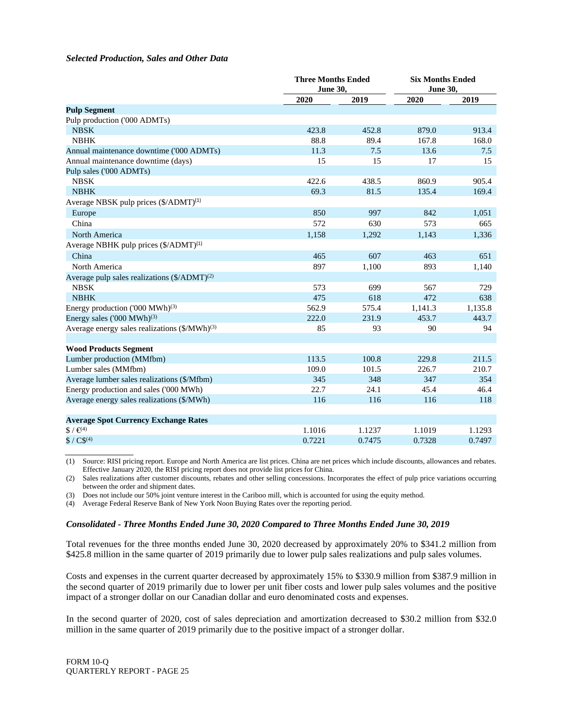#### *Selected Production, Sales and Other Data*

|                                                           |        | <b>Three Months Ended</b><br><b>June 30.</b> |         | <b>Six Months Ended</b><br><b>June 30.</b> |  |
|-----------------------------------------------------------|--------|----------------------------------------------|---------|--------------------------------------------|--|
|                                                           | 2020   | 2019                                         | 2020    | 2019                                       |  |
| <b>Pulp Segment</b>                                       |        |                                              |         |                                            |  |
| Pulp production ('000 ADMTs)                              |        |                                              |         |                                            |  |
| <b>NBSK</b>                                               | 423.8  | 452.8                                        | 879.0   | 913.4                                      |  |
| <b>NBHK</b>                                               | 88.8   | 89.4                                         | 167.8   | 168.0                                      |  |
| Annual maintenance downtime ('000 ADMTs)                  | 11.3   | 7.5                                          | 13.6    | 7.5                                        |  |
| Annual maintenance downtime (days)                        | 15     | 15                                           | 17      | 15                                         |  |
| Pulp sales ('000 ADMTs)                                   |        |                                              |         |                                            |  |
| <b>NBSK</b>                                               | 422.6  | 438.5                                        | 860.9   | 905.4                                      |  |
| <b>NBHK</b>                                               | 69.3   | 81.5                                         | 135.4   | 169.4                                      |  |
| Average NBSK pulp prices (\$/ADMT) <sup>(1)</sup>         |        |                                              |         |                                            |  |
| Europe                                                    | 850    | 997                                          | 842     | 1,051                                      |  |
| China                                                     | 572    | 630                                          | 573     | 665                                        |  |
| North America                                             | 1,158  | 1,292                                        | 1,143   | 1,336                                      |  |
| Average NBHK pulp prices (\$/ADMT) <sup>(1)</sup>         |        |                                              |         |                                            |  |
| China                                                     | 465    | 607                                          | 463     | 651                                        |  |
| North America                                             | 897    | 1,100                                        | 893     | 1,140                                      |  |
| Average pulp sales realizations (\$/ADMT) <sup>(2)</sup>  |        |                                              |         |                                            |  |
| <b>NBSK</b>                                               | 573    | 699                                          | 567     | 729                                        |  |
| <b>NBHK</b>                                               | 475    | 618                                          | 472     | 638                                        |  |
| Energy production $(000 \text{ MWh})^{(3)}$               | 562.9  | 575.4                                        | 1,141.3 | 1,135.8                                    |  |
| Energy sales $(000 \text{ MWh})^{(3)}$                    | 222.0  | 231.9                                        | 453.7   | 443.7                                      |  |
| Average energy sales realizations (\$/MWh) <sup>(3)</sup> | 85     | 93                                           | 90      | 94                                         |  |
|                                                           |        |                                              |         |                                            |  |
| <b>Wood Products Segment</b>                              |        |                                              |         |                                            |  |
| Lumber production (MMfbm)                                 | 113.5  | 100.8                                        | 229.8   | 211.5                                      |  |
| Lumber sales (MMfbm)                                      | 109.0  | 101.5                                        | 226.7   | 210.7                                      |  |
| Average lumber sales realizations (\$/Mfbm)               | 345    | 348                                          | 347     | 354                                        |  |
| Energy production and sales ('000 MWh)                    | 22.7   | 24.1                                         | 45.4    | 46.4                                       |  |
| Average energy sales realizations (\$/MWh)                | 116    | 116                                          | 116     | 118                                        |  |
|                                                           |        |                                              |         |                                            |  |
| <b>Average Spot Currency Exchange Rates</b>               |        |                                              |         |                                            |  |
| $$/ \infty$ <sup>49</sup>                                 | 1.1016 | 1.1237                                       | 1.1019  | 1.1293                                     |  |
| $$ / C$^{(4)}$                                            | 0.7221 | 0.7475                                       | 0.7328  | 0.7497                                     |  |
|                                                           |        |                                              |         |                                            |  |

(1) Source: RISI pricing report. Europe and North America are list prices. China are net prices which include discounts, allowances and rebates. Effective January 2020, the RISI pricing report does not provide list prices for China.

(2) Sales realizations after customer discounts, rebates and other selling concessions. Incorporates the effect of pulp price variations occurring between the order and shipment dates.

(3) Does not include our 50% joint venture interest in the Cariboo mill, which is accounted for using the equity method.

(4) Average Federal Reserve Bank of New York Noon Buying Rates over the reporting period.

#### *Consolidated - Three Months Ended June 30, 2020 Compared to Three Months Ended June 30, 2019*

Total revenues for the three months ended June 30, 2020 decreased by approximately 20% to \$341.2 million from \$425.8 million in the same quarter of 2019 primarily due to lower pulp sales realizations and pulp sales volumes.

Costs and expenses in the current quarter decreased by approximately 15% to \$330.9 million from \$387.9 million in the second quarter of 2019 primarily due to lower per unit fiber costs and lower pulp sales volumes and the positive impact of a stronger dollar on our Canadian dollar and euro denominated costs and expenses.

In the second quarter of 2020, cost of sales depreciation and amortization decreased to \$30.2 million from \$32.0 million in the same quarter of 2019 primarily due to the positive impact of a stronger dollar.

FORM 10-Q QUARTERLY REPORT - PAGE 25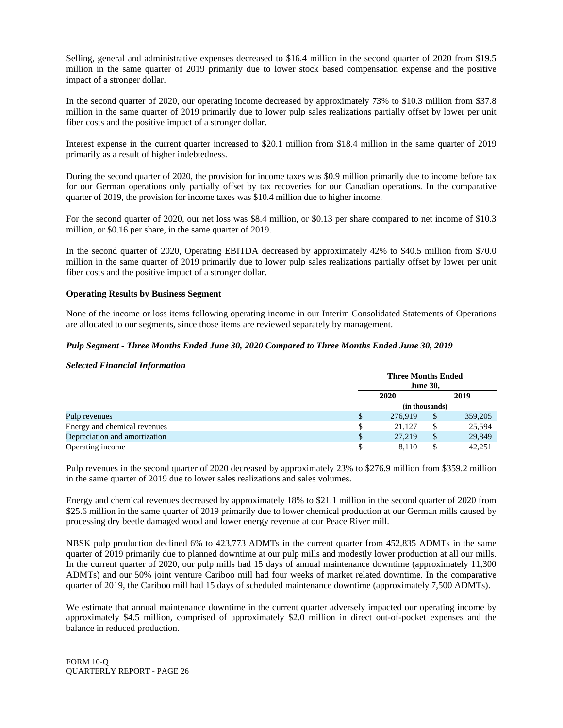Selling, general and administrative expenses decreased to \$16.4 million in the second quarter of 2020 from \$19.5 million in the same quarter of 2019 primarily due to lower stock based compensation expense and the positive impact of a stronger dollar.

In the second quarter of 2020, our operating income decreased by approximately 73% to \$10.3 million from \$37.8 million in the same quarter of 2019 primarily due to lower pulp sales realizations partially offset by lower per unit fiber costs and the positive impact of a stronger dollar.

Interest expense in the current quarter increased to \$20.1 million from \$18.4 million in the same quarter of 2019 primarily as a result of higher indebtedness.

During the second quarter of 2020, the provision for income taxes was \$0.9 million primarily due to income before tax for our German operations only partially offset by tax recoveries for our Canadian operations. In the comparative quarter of 2019, the provision for income taxes was \$10.4 million due to higher income.

For the second quarter of 2020, our net loss was \$8.4 million, or \$0.13 per share compared to net income of \$10.3 million, or \$0.16 per share, in the same quarter of 2019.

In the second quarter of 2020, Operating EBITDA decreased by approximately 42% to \$40.5 million from \$70.0 million in the same quarter of 2019 primarily due to lower pulp sales realizations partially offset by lower per unit fiber costs and the positive impact of a stronger dollar.

#### **Operating Results by Business Segment**

None of the income or loss items following operating income in our Interim Consolidated Statements of Operations are allocated to our segments, since those items are reviewed separately by management.

## *Pulp Segment - Three Months Ended June 30, 2020 Compared to Three Months Ended June 30, 2019*

#### *Selected Financial Information*

|                               |   | <b>Three Months Ended</b> | <b>June 30,</b> |         |  |
|-------------------------------|---|---------------------------|-----------------|---------|--|
|                               |   | 2019<br>2020              |                 |         |  |
|                               |   |                           | (in thousands)  |         |  |
| Pulp revenues                 | S | 276,919                   | \$              | 359,205 |  |
| Energy and chemical revenues  |   | 21.127                    | \$              | 25,594  |  |
| Depreciation and amortization | J | 27,219                    | \$              | 29,849  |  |
| Operating income              |   | 8.110                     | \$              | 42.251  |  |

Pulp revenues in the second quarter of 2020 decreased by approximately 23% to \$276.9 million from \$359.2 million in the same quarter of 2019 due to lower sales realizations and sales volumes.

Energy and chemical revenues decreased by approximately 18% to \$21.1 million in the second quarter of 2020 from \$25.6 million in the same quarter of 2019 primarily due to lower chemical production at our German mills caused by processing dry beetle damaged wood and lower energy revenue at our Peace River mill.

NBSK pulp production declined 6% to 423,773 ADMTs in the current quarter from 452,835 ADMTs in the same quarter of 2019 primarily due to planned downtime at our pulp mills and modestly lower production at all our mills. In the current quarter of 2020, our pulp mills had 15 days of annual maintenance downtime (approximately 11,300 ADMTs) and our 50% joint venture Cariboo mill had four weeks of market related downtime. In the comparative quarter of 2019, the Cariboo mill had 15 days of scheduled maintenance downtime (approximately 7,500 ADMTs).

We estimate that annual maintenance downtime in the current quarter adversely impacted our operating income by approximately \$4.5 million, comprised of approximately \$2.0 million in direct out-of-pocket expenses and the balance in reduced production.

FORM 10-Q QUARTERLY REPORT - PAGE 26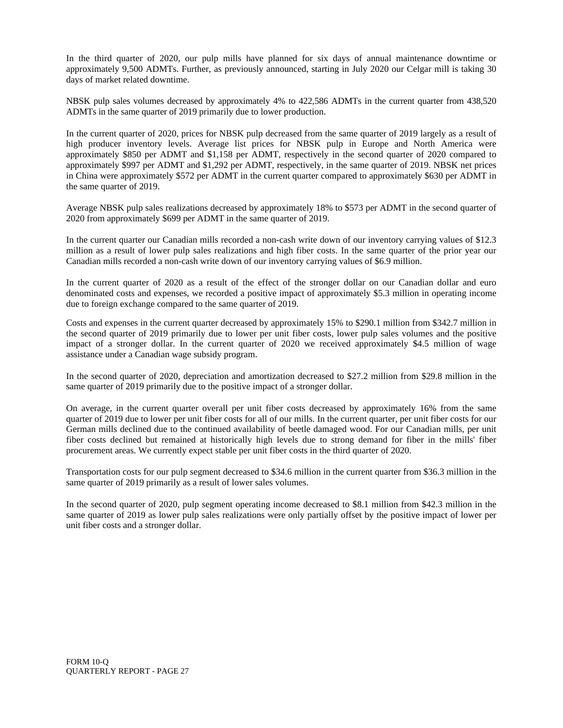In the third quarter of 2020, our pulp mills have planned for six days of annual maintenance downtime or approximately 9,500 ADMTs. Further, as previously announced, starting in July 2020 our Celgar mill is taking 30 days of market related downtime.

NBSK pulp sales volumes decreased by approximately 4% to 422,586 ADMTs in the current quarter from 438,520 ADMTs in the same quarter of 2019 primarily due to lower production.

In the current quarter of 2020, prices for NBSK pulp decreased from the same quarter of 2019 largely as a result of high producer inventory levels. Average list prices for NBSK pulp in Europe and North America were approximately \$850 per ADMT and \$1,158 per ADMT, respectively in the second quarter of 2020 compared to approximately \$997 per ADMT and \$1,292 per ADMT, respectively, in the same quarter of 2019. NBSK net prices in China were approximately \$572 per ADMT in the current quarter compared to approximately \$630 per ADMT in the same quarter of 2019.

Average NBSK pulp sales realizations decreased by approximately 18% to \$573 per ADMT in the second quarter of 2020 from approximately \$699 per ADMT in the same quarter of 2019.

In the current quarter our Canadian mills recorded a non-cash write down of our inventory carrying values of \$12.3 million as a result of lower pulp sales realizations and high fiber costs. In the same quarter of the prior year our Canadian mills recorded a non-cash write down of our inventory carrying values of \$6.9 million.

In the current quarter of 2020 as a result of the effect of the stronger dollar on our Canadian dollar and euro denominated costs and expenses, we recorded a positive impact of approximately \$5.3 million in operating income due to foreign exchange compared to the same quarter of 2019.

Costs and expenses in the current quarter decreased by approximately 15% to \$290.1 million from \$342.7 million in the second quarter of 2019 primarily due to lower per unit fiber costs, lower pulp sales volumes and the positive impact of a stronger dollar. In the current quarter of 2020 we received approximately \$4.5 million of wage assistance under a Canadian wage subsidy program.

In the second quarter of 2020, depreciation and amortization decreased to \$27.2 million from \$29.8 million in the same quarter of 2019 primarily due to the positive impact of a stronger dollar.

On average, in the current quarter overall per unit fiber costs decreased by approximately 16% from the same quarter of 2019 due to lower per unit fiber costs for all of our mills. In the current quarter, per unit fiber costs for our German mills declined due to the continued availability of beetle damaged wood. For our Canadian mills, per unit fiber costs declined but remained at historically high levels due to strong demand for fiber in the mills' fiber procurement areas. We currently expect stable per unit fiber costs in the third quarter of 2020.

Transportation costs for our pulp segment decreased to \$34.6 million in the current quarter from \$36.3 million in the same quarter of 2019 primarily as a result of lower sales volumes.

In the second quarter of 2020, pulp segment operating income decreased to \$8.1 million from \$42.3 million in the same quarter of 2019 as lower pulp sales realizations were only partially offset by the positive impact of lower per unit fiber costs and a stronger dollar.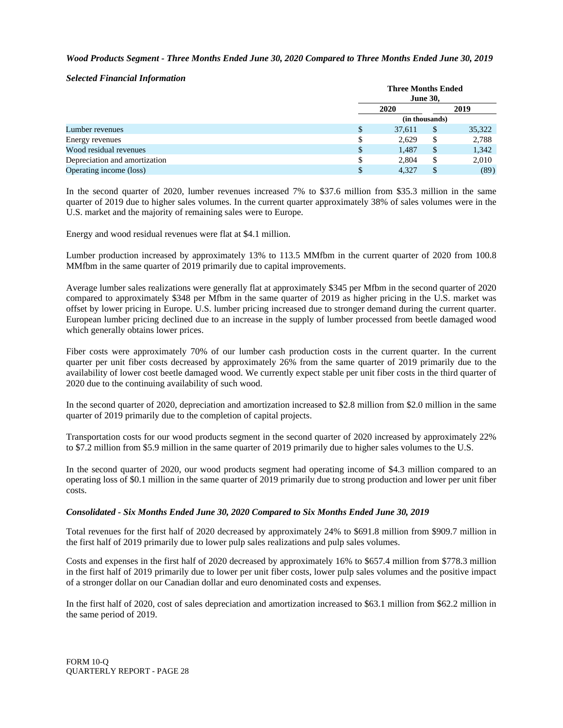# *Wood Products Segment - Three Months Ended June 30, 2020 Compared to Three Months Ended June 30, 2019*

#### *Selected Financial Information*

|                               |          | <b>Three Months Ended</b><br><b>June 30,</b> |                |        |  |  |  |
|-------------------------------|----------|----------------------------------------------|----------------|--------|--|--|--|
|                               |          | <b>2020</b><br>2019                          |                |        |  |  |  |
|                               |          |                                              | (in thousands) |        |  |  |  |
| Lumber revenues               |          | 37,611                                       | \$             | 35,322 |  |  |  |
| Energy revenues               |          | 2.629                                        | \$             | 2,788  |  |  |  |
| Wood residual revenues        | <b>S</b> | 1,487                                        | \$             | 1,342  |  |  |  |
| Depreciation and amortization |          | 2.804                                        |                | 2,010  |  |  |  |
| Operating income (loss)       |          | 4,327                                        |                | (89)   |  |  |  |

In the second quarter of 2020, lumber revenues increased 7% to \$37.6 million from \$35.3 million in the same quarter of 2019 due to higher sales volumes. In the current quarter approximately 38% of sales volumes were in the U.S. market and the majority of remaining sales were to Europe.

Energy and wood residual revenues were flat at \$4.1 million.

Lumber production increased by approximately 13% to 113.5 MMfbm in the current quarter of 2020 from 100.8 MMfbm in the same quarter of 2019 primarily due to capital improvements.

Average lumber sales realizations were generally flat at approximately \$345 per Mfbm in the second quarter of 2020 compared to approximately \$348 per Mfbm in the same quarter of 2019 as higher pricing in the U.S. market was offset by lower pricing in Europe. U.S. lumber pricing increased due to stronger demand during the current quarter. European lumber pricing declined due to an increase in the supply of lumber processed from beetle damaged wood which generally obtains lower prices.

Fiber costs were approximately 70% of our lumber cash production costs in the current quarter. In the current quarter per unit fiber costs decreased by approximately 26% from the same quarter of 2019 primarily due to the availability of lower cost beetle damaged wood. We currently expect stable per unit fiber costs in the third quarter of 2020 due to the continuing availability of such wood.

In the second quarter of 2020, depreciation and amortization increased to \$2.8 million from \$2.0 million in the same quarter of 2019 primarily due to the completion of capital projects.

Transportation costs for our wood products segment in the second quarter of 2020 increased by approximately 22% to \$7.2 million from \$5.9 million in the same quarter of 2019 primarily due to higher sales volumes to the U.S.

In the second quarter of 2020, our wood products segment had operating income of \$4.3 million compared to an operating loss of \$0.1 million in the same quarter of 2019 primarily due to strong production and lower per unit fiber costs.

#### *Consolidated - Six Months Ended June 30, 2020 Compared to Six Months Ended June 30, 2019*

Total revenues for the first half of 2020 decreased by approximately 24% to \$691.8 million from \$909.7 million in the first half of 2019 primarily due to lower pulp sales realizations and pulp sales volumes.

Costs and expenses in the first half of 2020 decreased by approximately 16% to \$657.4 million from \$778.3 million in the first half of 2019 primarily due to lower per unit fiber costs, lower pulp sales volumes and the positive impact of a stronger dollar on our Canadian dollar and euro denominated costs and expenses.

In the first half of 2020, cost of sales depreciation and amortization increased to \$63.1 million from \$62.2 million in the same period of 2019.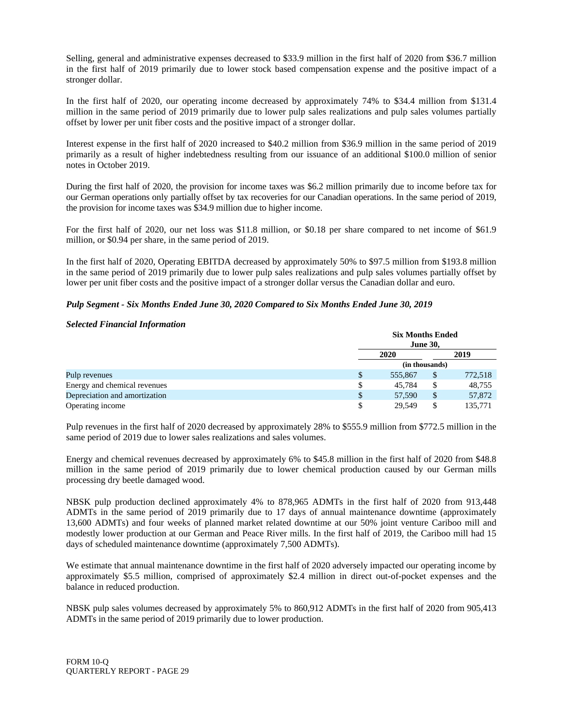Selling, general and administrative expenses decreased to \$33.9 million in the first half of 2020 from \$36.7 million in the first half of 2019 primarily due to lower stock based compensation expense and the positive impact of a stronger dollar.

In the first half of 2020, our operating income decreased by approximately 74% to \$34.4 million from \$131.4 million in the same period of 2019 primarily due to lower pulp sales realizations and pulp sales volumes partially offset by lower per unit fiber costs and the positive impact of a stronger dollar.

Interest expense in the first half of 2020 increased to \$40.2 million from \$36.9 million in the same period of 2019 primarily as a result of higher indebtedness resulting from our issuance of an additional \$100.0 million of senior notes in October 2019.

During the first half of 2020, the provision for income taxes was \$6.2 million primarily due to income before tax for our German operations only partially offset by tax recoveries for our Canadian operations. In the same period of 2019, the provision for income taxes was \$34.9 million due to higher income.

For the first half of 2020, our net loss was \$11.8 million, or \$0.18 per share compared to net income of \$61.9 million, or \$0.94 per share, in the same period of 2019.

In the first half of 2020, Operating EBITDA decreased by approximately 50% to \$97.5 million from \$193.8 million in the same period of 2019 primarily due to lower pulp sales realizations and pulp sales volumes partially offset by lower per unit fiber costs and the positive impact of a stronger dollar versus the Canadian dollar and euro.

## *Pulp Segment - Six Months Ended June 30, 2020 Compared to Six Months Ended June 30, 2019*

#### *Selected Financial Information*

|                               |   | <b>Six Months Ended</b> | <b>June 30,</b> |         |
|-------------------------------|---|-------------------------|-----------------|---------|
|                               |   | 2020                    |                 | 2019    |
|                               |   |                         | (in thousands)  |         |
| Pulp revenues                 |   | 555,867                 | \$              | 772,518 |
| Energy and chemical revenues  |   | 45.784                  | \$              | 48,755  |
| Depreciation and amortization | S | 57,590                  | \$              | 57,872  |
| Operating income              |   | 29.549                  | <sup>\$</sup>   | 135,771 |

Pulp revenues in the first half of 2020 decreased by approximately 28% to \$555.9 million from \$772.5 million in the same period of 2019 due to lower sales realizations and sales volumes.

Energy and chemical revenues decreased by approximately 6% to \$45.8 million in the first half of 2020 from \$48.8 million in the same period of 2019 primarily due to lower chemical production caused by our German mills processing dry beetle damaged wood.

NBSK pulp production declined approximately 4% to 878,965 ADMTs in the first half of 2020 from 913,448 ADMTs in the same period of 2019 primarily due to 17 days of annual maintenance downtime (approximately 13,600 ADMTs) and four weeks of planned market related downtime at our 50% joint venture Cariboo mill and modestly lower production at our German and Peace River mills. In the first half of 2019, the Cariboo mill had 15 days of scheduled maintenance downtime (approximately 7,500 ADMTs).

We estimate that annual maintenance downtime in the first half of 2020 adversely impacted our operating income by approximately \$5.5 million, comprised of approximately \$2.4 million in direct out-of-pocket expenses and the balance in reduced production.

NBSK pulp sales volumes decreased by approximately 5% to 860,912 ADMTs in the first half of 2020 from 905,413 ADMTs in the same period of 2019 primarily due to lower production.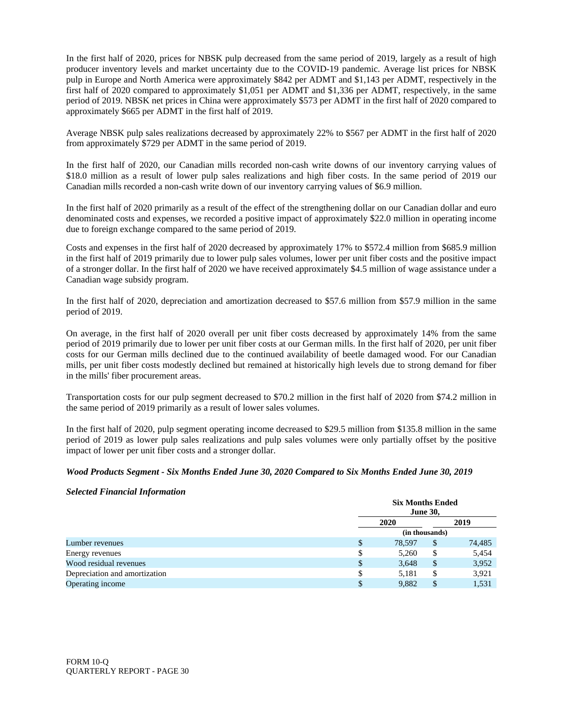In the first half of 2020, prices for NBSK pulp decreased from the same period of 2019, largely as a result of high producer inventory levels and market uncertainty due to the COVID-19 pandemic. Average list prices for NBSK pulp in Europe and North America were approximately \$842 per ADMT and \$1,143 per ADMT, respectively in the first half of 2020 compared to approximately \$1,051 per ADMT and \$1,336 per ADMT, respectively, in the same period of 2019. NBSK net prices in China were approximately \$573 per ADMT in the first half of 2020 compared to approximately \$665 per ADMT in the first half of 2019.

Average NBSK pulp sales realizations decreased by approximately 22% to \$567 per ADMT in the first half of 2020 from approximately \$729 per ADMT in the same period of 2019.

In the first half of 2020, our Canadian mills recorded non-cash write downs of our inventory carrying values of \$18.0 million as a result of lower pulp sales realizations and high fiber costs. In the same period of 2019 our Canadian mills recorded a non-cash write down of our inventory carrying values of \$6.9 million.

In the first half of 2020 primarily as a result of the effect of the strengthening dollar on our Canadian dollar and euro denominated costs and expenses, we recorded a positive impact of approximately \$22.0 million in operating income due to foreign exchange compared to the same period of 2019.

Costs and expenses in the first half of 2020 decreased by approximately 17% to \$572.4 million from \$685.9 million in the first half of 2019 primarily due to lower pulp sales volumes, lower per unit fiber costs and the positive impact of a stronger dollar. In the first half of 2020 we have received approximately \$4.5 million of wage assistance under a Canadian wage subsidy program.

In the first half of 2020, depreciation and amortization decreased to \$57.6 million from \$57.9 million in the same period of 2019.

On average, in the first half of 2020 overall per unit fiber costs decreased by approximately 14% from the same period of 2019 primarily due to lower per unit fiber costs at our German mills. In the first half of 2020, per unit fiber costs for our German mills declined due to the continued availability of beetle damaged wood. For our Canadian mills, per unit fiber costs modestly declined but remained at historically high levels due to strong demand for fiber in the mills' fiber procurement areas.

Transportation costs for our pulp segment decreased to \$70.2 million in the first half of 2020 from \$74.2 million in the same period of 2019 primarily as a result of lower sales volumes.

In the first half of 2020, pulp segment operating income decreased to \$29.5 million from \$135.8 million in the same period of 2019 as lower pulp sales realizations and pulp sales volumes were only partially offset by the positive impact of lower per unit fiber costs and a stronger dollar.

#### *Wood Products Segment - Six Months Ended June 30, 2020 Compared to Six Months Ended June 30, 2019*

#### *Selected Financial Information*

|                               |    | <b>Six Months Ended</b> |                 |        |  |  |  |
|-------------------------------|----|-------------------------|-----------------|--------|--|--|--|
|                               |    |                         | <b>June 30,</b> |        |  |  |  |
|                               |    | <b>2020</b>             |                 | 2019   |  |  |  |
|                               |    |                         | (in thousands)  |        |  |  |  |
| Lumber revenues               |    | 78,597                  | \$              | 74,485 |  |  |  |
| Energy revenues               | S  | 5,260                   | \$              | 5,454  |  |  |  |
| Wood residual revenues        | \$ | 3,648                   | \$              | 3,952  |  |  |  |
| Depreciation and amortization |    | 5,181                   | S               | 3,921  |  |  |  |
| Operating income              |    | 9,882                   |                 | 1,531  |  |  |  |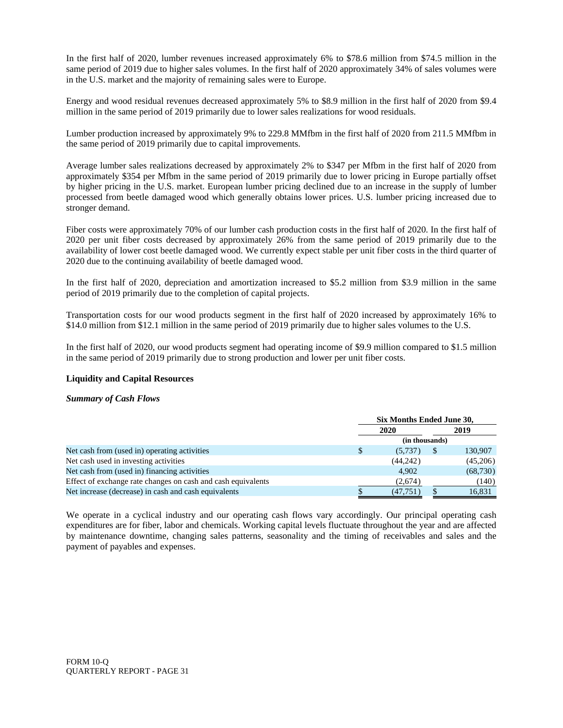In the first half of 2020, lumber revenues increased approximately 6% to \$78.6 million from \$74.5 million in the same period of 2019 due to higher sales volumes. In the first half of 2020 approximately 34% of sales volumes were in the U.S. market and the majority of remaining sales were to Europe.

Energy and wood residual revenues decreased approximately 5% to \$8.9 million in the first half of 2020 from \$9.4 million in the same period of 2019 primarily due to lower sales realizations for wood residuals.

Lumber production increased by approximately 9% to 229.8 MMfbm in the first half of 2020 from 211.5 MMfbm in the same period of 2019 primarily due to capital improvements.

Average lumber sales realizations decreased by approximately 2% to \$347 per Mfbm in the first half of 2020 from approximately \$354 per Mfbm in the same period of 2019 primarily due to lower pricing in Europe partially offset by higher pricing in the U.S. market. European lumber pricing declined due to an increase in the supply of lumber processed from beetle damaged wood which generally obtains lower prices. U.S. lumber pricing increased due to stronger demand.

Fiber costs were approximately 70% of our lumber cash production costs in the first half of 2020. In the first half of 2020 per unit fiber costs decreased by approximately 26% from the same period of 2019 primarily due to the availability of lower cost beetle damaged wood. We currently expect stable per unit fiber costs in the third quarter of 2020 due to the continuing availability of beetle damaged wood.

In the first half of 2020, depreciation and amortization increased to \$5.2 million from \$3.9 million in the same period of 2019 primarily due to the completion of capital projects.

Transportation costs for our wood products segment in the first half of 2020 increased by approximately 16% to \$14.0 million from \$12.1 million in the same period of 2019 primarily due to higher sales volumes to the U.S.

In the first half of 2020, our wood products segment had operating income of \$9.9 million compared to \$1.5 million in the same period of 2019 primarily due to strong production and lower per unit fiber costs.

#### **Liquidity and Capital Resources**

#### *Summary of Cash Flows*

|                                                              | Six Months Ended June 30, |               |           |  |  |
|--------------------------------------------------------------|---------------------------|---------------|-----------|--|--|
|                                                              | 2020                      |               |           |  |  |
|                                                              | (in thousands)            |               |           |  |  |
| Net cash from (used in) operating activities                 | (5,737)                   | <sup>\$</sup> | 130,907   |  |  |
| Net cash used in investing activities                        | (44, 242)                 |               | (45,206)  |  |  |
| Net cash from (used in) financing activities                 | 4.902                     |               | (68, 730) |  |  |
| Effect of exchange rate changes on cash and cash equivalents | (2,674)                   |               | (140)     |  |  |
| Net increase (decrease) in cash and cash equivalents         | (47,751)                  |               | 16,831    |  |  |

We operate in a cyclical industry and our operating cash flows vary accordingly. Our principal operating cash expenditures are for fiber, labor and chemicals. Working capital levels fluctuate throughout the year and are affected by maintenance downtime, changing sales patterns, seasonality and the timing of receivables and sales and the payment of payables and expenses.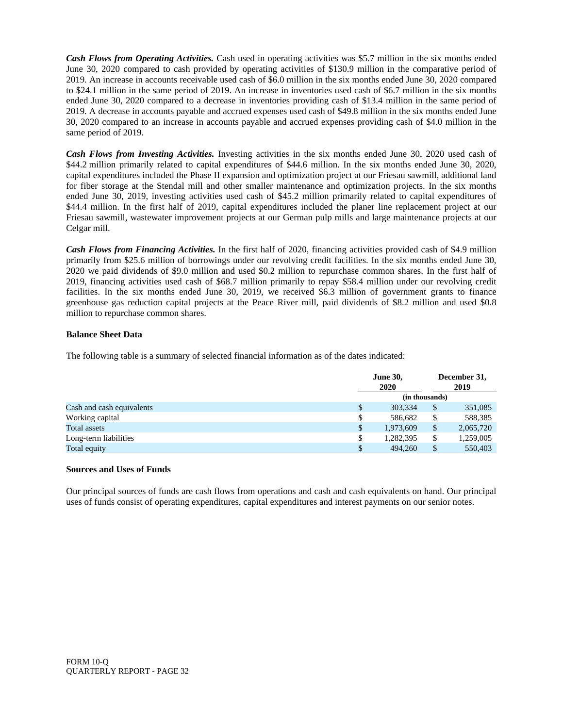*Cash Flows from Operating Activities.* Cash used in operating activities was \$5.7 million in the six months ended June 30, 2020 compared to cash provided by operating activities of \$130.9 million in the comparative period of 2019. An increase in accounts receivable used cash of \$6.0 million in the six months ended June 30, 2020 compared to \$24.1 million in the same period of 2019. An increase in inventories used cash of \$6.7 million in the six months ended June 30, 2020 compared to a decrease in inventories providing cash of \$13.4 million in the same period of 2019. A decrease in accounts payable and accrued expenses used cash of \$49.8 million in the six months ended June 30, 2020 compared to an increase in accounts payable and accrued expenses providing cash of \$4.0 million in the same period of 2019.

*Cash Flows from Investing Activities.* Investing activities in the six months ended June 30, 2020 used cash of \$44.2 million primarily related to capital expenditures of \$44.6 million. In the six months ended June 30, 2020, capital expenditures included the Phase II expansion and optimization project at our Friesau sawmill, additional land for fiber storage at the Stendal mill and other smaller maintenance and optimization projects. In the six months ended June 30, 2019, investing activities used cash of \$45.2 million primarily related to capital expenditures of \$44.4 million. In the first half of 2019, capital expenditures included the planer line replacement project at our Friesau sawmill, wastewater improvement projects at our German pulp mills and large maintenance projects at our Celgar mill.

*Cash Flows from Financing Activities.* In the first half of 2020, financing activities provided cash of \$4.9 million primarily from \$25.6 million of borrowings under our revolving credit facilities. In the six months ended June 30, 2020 we paid dividends of \$9.0 million and used \$0.2 million to repurchase common shares. In the first half of 2019, financing activities used cash of \$68.7 million primarily to repay \$58.4 million under our revolving credit facilities. In the six months ended June 30, 2019, we received \$6.3 million of government grants to finance greenhouse gas reduction capital projects at the Peace River mill, paid dividends of \$8.2 million and used \$0.8 million to repurchase common shares.

# **Balance Sheet Data**

The following table is a summary of selected financial information as of the dates indicated:

|                           | <b>June 30,</b><br>2020 |                | December 31,<br>2019 |
|---------------------------|-------------------------|----------------|----------------------|
|                           |                         | (in thousands) |                      |
| Cash and cash equivalents | 303.334                 | \$             | 351,085              |
| Working capital           | 586.682                 | \$.            | 588,385              |
| Total assets              | \$<br>1,973,609         | $\mathbb{S}$   | 2,065,720            |
| Long-term liabilities     | 1,282,395               | \$             | 1,259,005            |
| Total equity              | 494,260                 | \$             | 550,403              |

# **Sources and Uses of Funds**

Our principal sources of funds are cash flows from operations and cash and cash equivalents on hand. Our principal uses of funds consist of operating expenditures, capital expenditures and interest payments on our senior notes.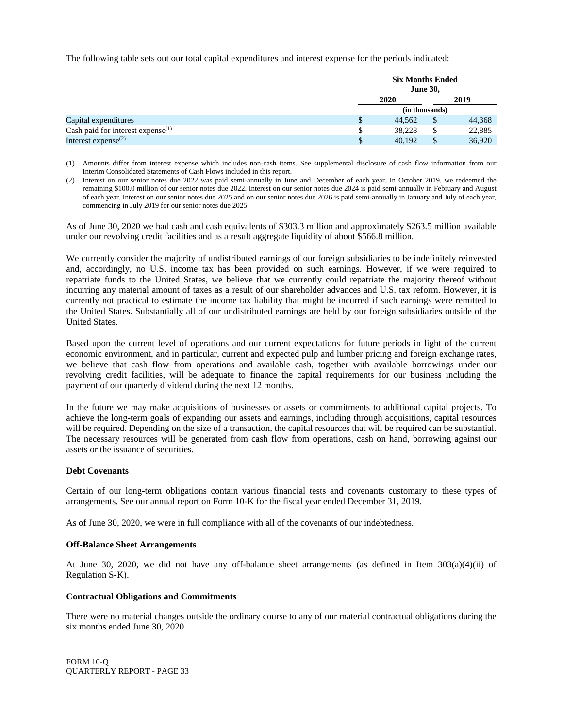The following table sets out our total capital expenditures and interest expense for the periods indicated:

|                                               | <b>Six Months Ended</b><br><b>June 30,</b> |    |        |  |
|-----------------------------------------------|--------------------------------------------|----|--------|--|
|                                               | 2020                                       |    | 2019   |  |
|                                               | (in thousands)                             |    |        |  |
| Capital expenditures                          | 44,562                                     | \$ | 44,368 |  |
| Cash paid for interest expense <sup>(1)</sup> | 38.228                                     | \$ | 22,885 |  |
| Interest expense $^{(2)}$                     | 40.192                                     |    | 36,920 |  |

<sup>(1)</sup> Amounts differ from interest expense which includes non-cash items. See supplemental disclosure of cash flow information from our Interim Consolidated Statements of Cash Flows included in this report.

As of June 30, 2020 we had cash and cash equivalents of \$303.3 million and approximately \$263.5 million available under our revolving credit facilities and as a result aggregate liquidity of about \$566.8 million.

We currently consider the majority of undistributed earnings of our foreign subsidiaries to be indefinitely reinvested and, accordingly, no U.S. income tax has been provided on such earnings. However, if we were required to repatriate funds to the United States, we believe that we currently could repatriate the majority thereof without incurring any material amount of taxes as a result of our shareholder advances and U.S. tax reform. However, it is currently not practical to estimate the income tax liability that might be incurred if such earnings were remitted to the United States. Substantially all of our undistributed earnings are held by our foreign subsidiaries outside of the United States.

Based upon the current level of operations and our current expectations for future periods in light of the current economic environment, and in particular, current and expected pulp and lumber pricing and foreign exchange rates, we believe that cash flow from operations and available cash, together with available borrowings under our revolving credit facilities, will be adequate to finance the capital requirements for our business including the payment of our quarterly dividend during the next 12 months.

In the future we may make acquisitions of businesses or assets or commitments to additional capital projects. To achieve the long-term goals of expanding our assets and earnings, including through acquisitions, capital resources will be required. Depending on the size of a transaction, the capital resources that will be required can be substantial. The necessary resources will be generated from cash flow from operations, cash on hand, borrowing against our assets or the issuance of securities.

## **Debt Covenants**

Certain of our long-term obligations contain various financial tests and covenants customary to these types of arrangements. See our annual report on Form 10-K for the fiscal year ended December 31, 2019.

As of June 30, 2020, we were in full compliance with all of the covenants of our indebtedness.

#### **Off-Balance Sheet Arrangements**

At June 30, 2020, we did not have any off-balance sheet arrangements (as defined in Item 303(a)(4)(ii) of Regulation S-K).

#### **Contractual Obligations and Commitments**

There were no material changes outside the ordinary course to any of our material contractual obligations during the six months ended June 30, 2020.

FORM 10-Q QUARTERLY REPORT - PAGE 33

<sup>(2)</sup> Interest on our senior notes due 2022 was paid semi-annually in June and December of each year. In October 2019, we redeemed the remaining \$100.0 million of our senior notes due 2022. Interest on our senior notes due 2024 is paid semi-annually in February and August of each year. Interest on our senior notes due 2025 and on our senior notes due 2026 is paid semi-annually in January and July of each year, commencing in July 2019 for our senior notes due 2025.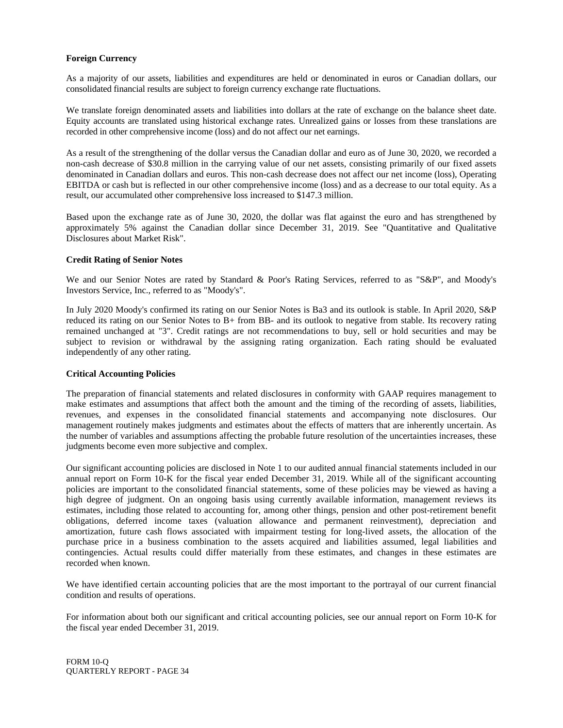## **Foreign Currency**

As a majority of our assets, liabilities and expenditures are held or denominated in euros or Canadian dollars, our consolidated financial results are subject to foreign currency exchange rate fluctuations.

We translate foreign denominated assets and liabilities into dollars at the rate of exchange on the balance sheet date. Equity accounts are translated using historical exchange rates. Unrealized gains or losses from these translations are recorded in other comprehensive income (loss) and do not affect our net earnings.

As a result of the strengthening of the dollar versus the Canadian dollar and euro as of June 30, 2020, we recorded a non-cash decrease of \$30.8 million in the carrying value of our net assets, consisting primarily of our fixed assets denominated in Canadian dollars and euros. This non-cash decrease does not affect our net income (loss), Operating EBITDA or cash but is reflected in our other comprehensive income (loss) and as a decrease to our total equity. As a result, our accumulated other comprehensive loss increased to \$147.3 million.

Based upon the exchange rate as of June 30, 2020, the dollar was flat against the euro and has strengthened by approximately 5% against the Canadian dollar since December 31, 2019. See "Quantitative and Qualitative Disclosures about Market Risk".

#### **Credit Rating of Senior Notes**

We and our Senior Notes are rated by Standard & Poor's Rating Services, referred to as "S&P", and Moody's Investors Service, Inc., referred to as "Moody's".

In July 2020 Moody's confirmed its rating on our Senior Notes is Ba3 and its outlook is stable. In April 2020, S&P reduced its rating on our Senior Notes to B+ from BB- and its outlook to negative from stable. Its recovery rating remained unchanged at "3". Credit ratings are not recommendations to buy, sell or hold securities and may be subject to revision or withdrawal by the assigning rating organization. Each rating should be evaluated independently of any other rating.

#### **Critical Accounting Policies**

The preparation of financial statements and related disclosures in conformity with GAAP requires management to make estimates and assumptions that affect both the amount and the timing of the recording of assets, liabilities, revenues, and expenses in the consolidated financial statements and accompanying note disclosures. Our management routinely makes judgments and estimates about the effects of matters that are inherently uncertain. As the number of variables and assumptions affecting the probable future resolution of the uncertainties increases, these judgments become even more subjective and complex.

Our significant accounting policies are disclosed in Note 1 to our audited annual financial statements included in our annual report on Form 10-K for the fiscal year ended December 31, 2019. While all of the significant accounting policies are important to the consolidated financial statements, some of these policies may be viewed as having a high degree of judgment. On an ongoing basis using currently available information, management reviews its estimates, including those related to accounting for, among other things, pension and other post-retirement benefit obligations, deferred income taxes (valuation allowance and permanent reinvestment), depreciation and amortization, future cash flows associated with impairment testing for long-lived assets, the allocation of the purchase price in a business combination to the assets acquired and liabilities assumed, legal liabilities and contingencies. Actual results could differ materially from these estimates, and changes in these estimates are recorded when known.

We have identified certain accounting policies that are the most important to the portrayal of our current financial condition and results of operations.

For information about both our significant and critical accounting policies, see our annual report on Form 10-K for the fiscal year ended December 31, 2019.

FORM 10-Q QUARTERLY REPORT - PAGE 34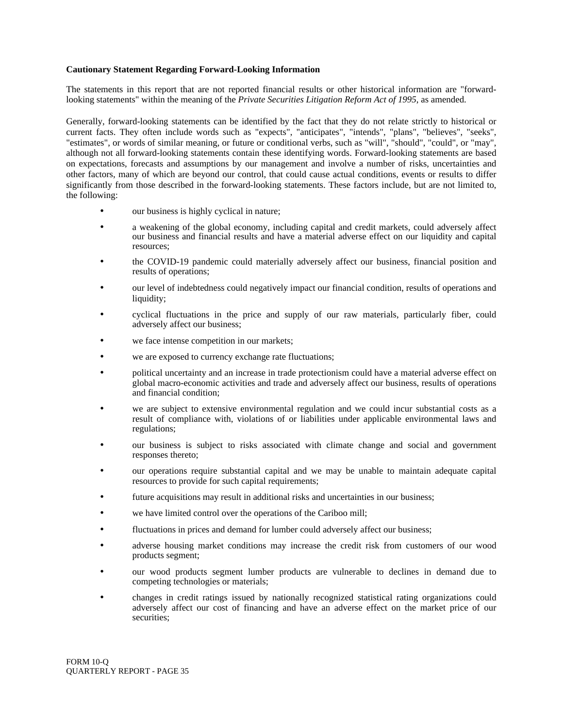#### **Cautionary Statement Regarding Forward-Looking Information**

The statements in this report that are not reported financial results or other historical information are "forwardlooking statements" within the meaning of the *Private Securities Litigation Reform Act of 1995*, as amended.

Generally, forward-looking statements can be identified by the fact that they do not relate strictly to historical or current facts. They often include words such as "expects", "anticipates", "intends", "plans", "believes", "seeks", "estimates", or words of similar meaning, or future or conditional verbs, such as "will", "should", "could", or "may", although not all forward-looking statements contain these identifying words. Forward-looking statements are based on expectations, forecasts and assumptions by our management and involve a number of risks, uncertainties and other factors, many of which are beyond our control, that could cause actual conditions, events or results to differ significantly from those described in the forward-looking statements. These factors include, but are not limited to, the following:

- our business is highly cyclical in nature;
- a weakening of the global economy, including capital and credit markets, could adversely affect our business and financial results and have a material adverse effect on our liquidity and capital resources;
- the COVID-19 pandemic could materially adversely affect our business, financial position and results of operations;
- our level of indebtedness could negatively impact our financial condition, results of operations and liquidity;
- cyclical fluctuations in the price and supply of our raw materials, particularly fiber, could adversely affect our business;
- we face intense competition in our markets;
- we are exposed to currency exchange rate fluctuations;
- political uncertainty and an increase in trade protectionism could have a material adverse effect on global macro-economic activities and trade and adversely affect our business, results of operations and financial condition;
- we are subject to extensive environmental regulation and we could incur substantial costs as a result of compliance with, violations of or liabilities under applicable environmental laws and regulations;
- our business is subject to risks associated with climate change and social and government responses thereto;
- our operations require substantial capital and we may be unable to maintain adequate capital resources to provide for such capital requirements;
- future acquisitions may result in additional risks and uncertainties in our business;
- we have limited control over the operations of the Cariboo mill;
- fluctuations in prices and demand for lumber could adversely affect our business;
- adverse housing market conditions may increase the credit risk from customers of our wood products segment;
- our wood products segment lumber products are vulnerable to declines in demand due to competing technologies or materials;
- changes in credit ratings issued by nationally recognized statistical rating organizations could adversely affect our cost of financing and have an adverse effect on the market price of our securities: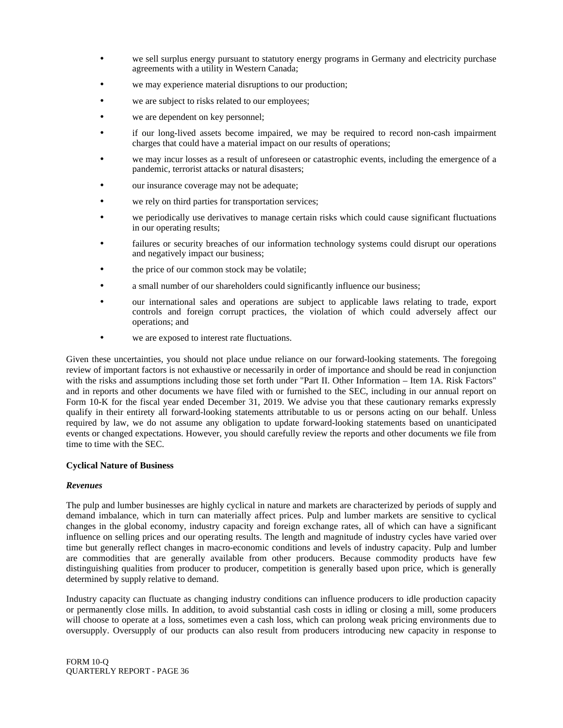- we sell surplus energy pursuant to statutory energy programs in Germany and electricity purchase agreements with a utility in Western Canada;
- we may experience material disruptions to our production;
- we are subject to risks related to our employees;
- we are dependent on key personnel;
- if our long-lived assets become impaired, we may be required to record non-cash impairment charges that could have a material impact on our results of operations;
- we may incur losses as a result of unforeseen or catastrophic events, including the emergence of a pandemic, terrorist attacks or natural disasters;
- our insurance coverage may not be adequate;
- we rely on third parties for transportation services;
- we periodically use derivatives to manage certain risks which could cause significant fluctuations in our operating results;
- failures or security breaches of our information technology systems could disrupt our operations and negatively impact our business;
- the price of our common stock may be volatile;
- a small number of our shareholders could significantly influence our business;
- our international sales and operations are subject to applicable laws relating to trade, export controls and foreign corrupt practices, the violation of which could adversely affect our operations; and
- we are exposed to interest rate fluctuations.

Given these uncertainties, you should not place undue reliance on our forward-looking statements. The foregoing review of important factors is not exhaustive or necessarily in order of importance and should be read in conjunction with the risks and assumptions including those set forth under "Part II. Other Information – Item 1A. Risk Factors" and in reports and other documents we have filed with or furnished to the SEC, including in our annual report on Form 10-K for the fiscal year ended December 31, 2019. We advise you that these cautionary remarks expressly qualify in their entirety all forward-looking statements attributable to us or persons acting on our behalf. Unless required by law, we do not assume any obligation to update forward-looking statements based on unanticipated events or changed expectations. However, you should carefully review the reports and other documents we file from time to time with the SEC.

#### **Cyclical Nature of Business**

#### *Revenues*

The pulp and lumber businesses are highly cyclical in nature and markets are characterized by periods of supply and demand imbalance, which in turn can materially affect prices. Pulp and lumber markets are sensitive to cyclical changes in the global economy, industry capacity and foreign exchange rates, all of which can have a significant influence on selling prices and our operating results. The length and magnitude of industry cycles have varied over time but generally reflect changes in macro-economic conditions and levels of industry capacity. Pulp and lumber are commodities that are generally available from other producers. Because commodity products have few distinguishing qualities from producer to producer, competition is generally based upon price, which is generally determined by supply relative to demand.

Industry capacity can fluctuate as changing industry conditions can influence producers to idle production capacity or permanently close mills. In addition, to avoid substantial cash costs in idling or closing a mill, some producers will choose to operate at a loss, sometimes even a cash loss, which can prolong weak pricing environments due to oversupply. Oversupply of our products can also result from producers introducing new capacity in response to

FORM 10-Q QUARTERLY REPORT - PAGE 36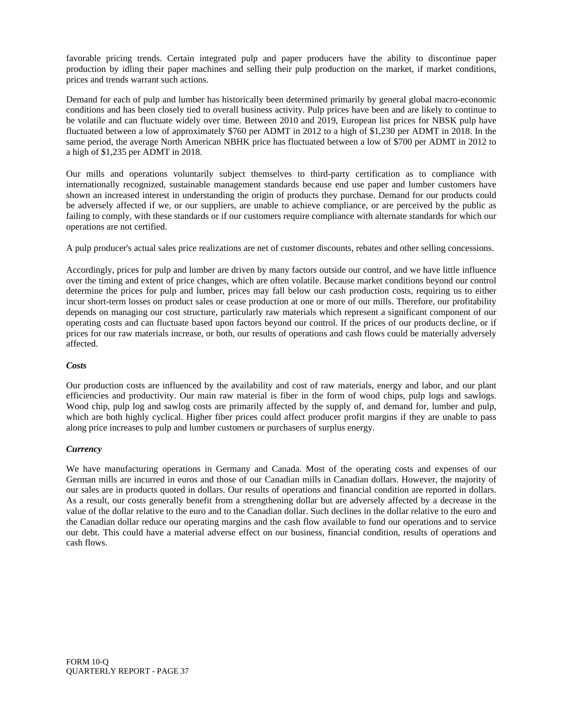favorable pricing trends. Certain integrated pulp and paper producers have the ability to discontinue paper production by idling their paper machines and selling their pulp production on the market, if market conditions, prices and trends warrant such actions.

Demand for each of pulp and lumber has historically been determined primarily by general global macro-economic conditions and has been closely tied to overall business activity. Pulp prices have been and are likely to continue to be volatile and can fluctuate widely over time. Between 2010 and 2019, European list prices for NBSK pulp have fluctuated between a low of approximately \$760 per ADMT in 2012 to a high of \$1,230 per ADMT in 2018. In the same period, the average North American NBHK price has fluctuated between a low of \$700 per ADMT in 2012 to a high of \$1,235 per ADMT in 2018.

Our mills and operations voluntarily subject themselves to third-party certification as to compliance with internationally recognized, sustainable management standards because end use paper and lumber customers have shown an increased interest in understanding the origin of products they purchase. Demand for our products could be adversely affected if we, or our suppliers, are unable to achieve compliance, or are perceived by the public as failing to comply, with these standards or if our customers require compliance with alternate standards for which our operations are not certified.

A pulp producer's actual sales price realizations are net of customer discounts, rebates and other selling concessions.

Accordingly, prices for pulp and lumber are driven by many factors outside our control, and we have little influence over the timing and extent of price changes, which are often volatile. Because market conditions beyond our control determine the prices for pulp and lumber, prices may fall below our cash production costs, requiring us to either incur short-term losses on product sales or cease production at one or more of our mills. Therefore, our profitability depends on managing our cost structure, particularly raw materials which represent a significant component of our operating costs and can fluctuate based upon factors beyond our control. If the prices of our products decline, or if prices for our raw materials increase, or both, our results of operations and cash flows could be materially adversely affected.

# *Costs*

Our production costs are influenced by the availability and cost of raw materials, energy and labor, and our plant efficiencies and productivity. Our main raw material is fiber in the form of wood chips, pulp logs and sawlogs. Wood chip, pulp log and sawlog costs are primarily affected by the supply of, and demand for, lumber and pulp, which are both highly cyclical. Higher fiber prices could affect producer profit margins if they are unable to pass along price increases to pulp and lumber customers or purchasers of surplus energy.

#### *Currency*

We have manufacturing operations in Germany and Canada. Most of the operating costs and expenses of our German mills are incurred in euros and those of our Canadian mills in Canadian dollars. However, the majority of our sales are in products quoted in dollars. Our results of operations and financial condition are reported in dollars. As a result, our costs generally benefit from a strengthening dollar but are adversely affected by a decrease in the value of the dollar relative to the euro and to the Canadian dollar. Such declines in the dollar relative to the euro and the Canadian dollar reduce our operating margins and the cash flow available to fund our operations and to service our debt. This could have a material adverse effect on our business, financial condition, results of operations and cash flows.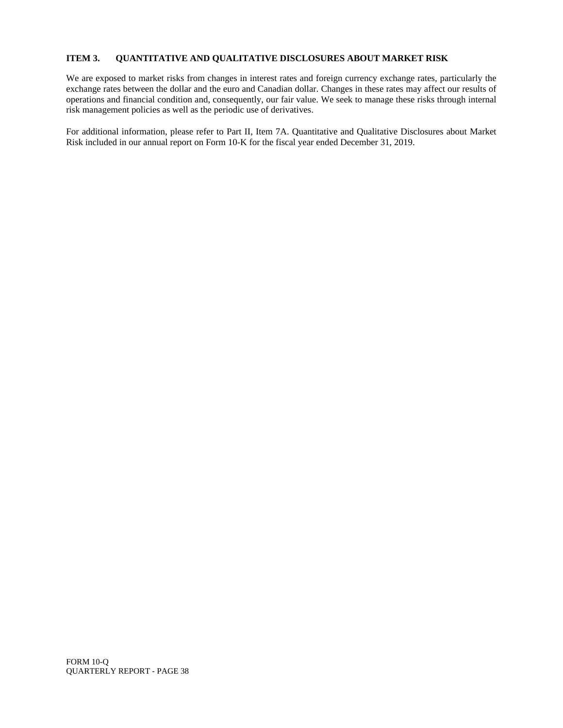# **ITEM 3. QUANTITATIVE AND QUALITATIVE DISCLOSURES ABOUT MARKET RISK**

We are exposed to market risks from changes in interest rates and foreign currency exchange rates, particularly the exchange rates between the dollar and the euro and Canadian dollar. Changes in these rates may affect our results of operations and financial condition and, consequently, our fair value. We seek to manage these risks through internal risk management policies as well as the periodic use of derivatives.

For additional information, please refer to Part II, Item 7A. Quantitative and Qualitative Disclosures about Market Risk included in our annual report on Form 10-K for the fiscal year ended December 31, 2019.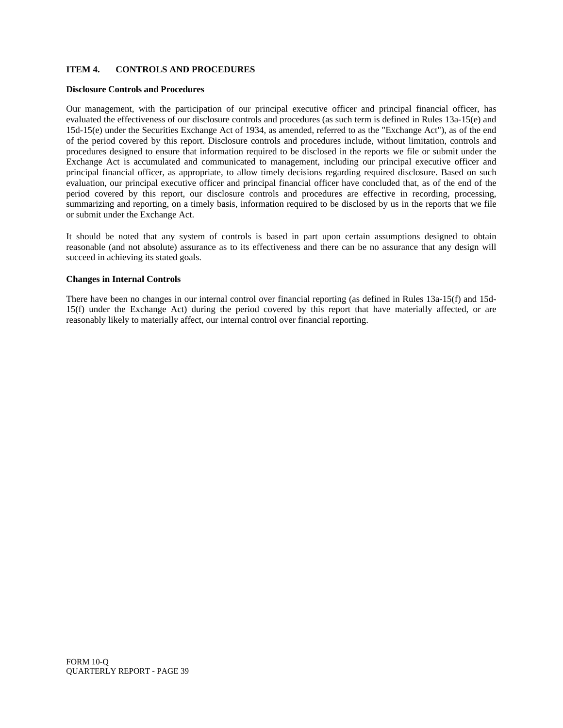## **ITEM 4. CONTROLS AND PROCEDURES**

#### **Disclosure Controls and Procedures**

Our management, with the participation of our principal executive officer and principal financial officer, has evaluated the effectiveness of our disclosure controls and procedures (as such term is defined in Rules 13a-15(e) and 15d-15(e) under the Securities Exchange Act of 1934, as amended, referred to as the "Exchange Act"), as of the end of the period covered by this report. Disclosure controls and procedures include, without limitation, controls and procedures designed to ensure that information required to be disclosed in the reports we file or submit under the Exchange Act is accumulated and communicated to management, including our principal executive officer and principal financial officer, as appropriate, to allow timely decisions regarding required disclosure. Based on such evaluation, our principal executive officer and principal financial officer have concluded that, as of the end of the period covered by this report, our disclosure controls and procedures are effective in recording, processing, summarizing and reporting, on a timely basis, information required to be disclosed by us in the reports that we file or submit under the Exchange Act.

It should be noted that any system of controls is based in part upon certain assumptions designed to obtain reasonable (and not absolute) assurance as to its effectiveness and there can be no assurance that any design will succeed in achieving its stated goals.

# **Changes in Internal Controls**

There have been no changes in our internal control over financial reporting (as defined in Rules 13a-15(f) and 15d-15(f) under the Exchange Act) during the period covered by this report that have materially affected, or are reasonably likely to materially affect, our internal control over financial reporting.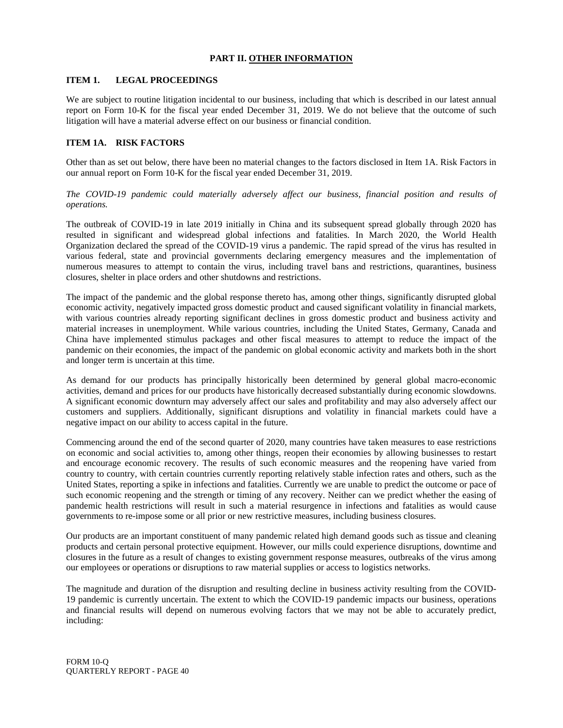# **PART II. OTHER INFORMATION**

#### **ITEM 1. LEGAL PROCEEDINGS**

We are subject to routine litigation incidental to our business, including that which is described in our latest annual report on Form 10-K for the fiscal year ended December 31, 2019. We do not believe that the outcome of such litigation will have a material adverse effect on our business or financial condition.

# **ITEM 1A. RISK FACTORS**

Other than as set out below, there have been no material changes to the factors disclosed in Item 1A. Risk Factors in our annual report on Form 10-K for the fiscal year ended December 31, 2019.

*The COVID-19 pandemic could materially adversely affect our business, financial position and results of operations.* 

The outbreak of COVID-19 in late 2019 initially in China and its subsequent spread globally through 2020 has resulted in significant and widespread global infections and fatalities. In March 2020, the World Health Organization declared the spread of the COVID-19 virus a pandemic. The rapid spread of the virus has resulted in various federal, state and provincial governments declaring emergency measures and the implementation of numerous measures to attempt to contain the virus, including travel bans and restrictions, quarantines, business closures, shelter in place orders and other shutdowns and restrictions.

The impact of the pandemic and the global response thereto has, among other things, significantly disrupted global economic activity, negatively impacted gross domestic product and caused significant volatility in financial markets, with various countries already reporting significant declines in gross domestic product and business activity and material increases in unemployment. While various countries, including the United States, Germany, Canada and China have implemented stimulus packages and other fiscal measures to attempt to reduce the impact of the pandemic on their economies, the impact of the pandemic on global economic activity and markets both in the short and longer term is uncertain at this time.

As demand for our products has principally historically been determined by general global macro-economic activities, demand and prices for our products have historically decreased substantially during economic slowdowns. A significant economic downturn may adversely affect our sales and profitability and may also adversely affect our customers and suppliers. Additionally, significant disruptions and volatility in financial markets could have a negative impact on our ability to access capital in the future.

Commencing around the end of the second quarter of 2020, many countries have taken measures to ease restrictions on economic and social activities to, among other things, reopen their economies by allowing businesses to restart and encourage economic recovery. The results of such economic measures and the reopening have varied from country to country, with certain countries currently reporting relatively stable infection rates and others, such as the United States, reporting a spike in infections and fatalities. Currently we are unable to predict the outcome or pace of such economic reopening and the strength or timing of any recovery. Neither can we predict whether the easing of pandemic health restrictions will result in such a material resurgence in infections and fatalities as would cause governments to re-impose some or all prior or new restrictive measures, including business closures.

Our products are an important constituent of many pandemic related high demand goods such as tissue and cleaning products and certain personal protective equipment. However, our mills could experience disruptions, downtime and closures in the future as a result of changes to existing government response measures, outbreaks of the virus among our employees or operations or disruptions to raw material supplies or access to logistics networks.

The magnitude and duration of the disruption and resulting decline in business activity resulting from the COVID-19 pandemic is currently uncertain. The extent to which the COVID-19 pandemic impacts our business, operations and financial results will depend on numerous evolving factors that we may not be able to accurately predict, including: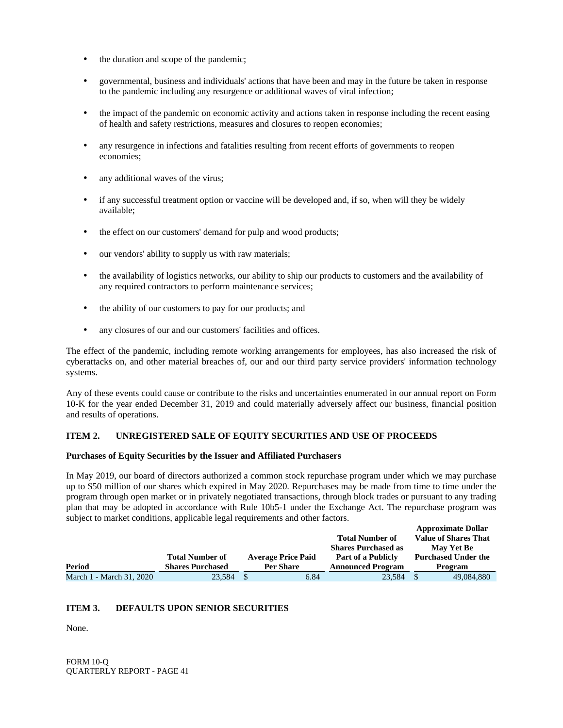- the duration and scope of the pandemic;
- governmental, business and individuals' actions that have been and may in the future be taken in response to the pandemic including any resurgence or additional waves of viral infection;
- the impact of the pandemic on economic activity and actions taken in response including the recent easing of health and safety restrictions, measures and closures to reopen economies;
- any resurgence in infections and fatalities resulting from recent efforts of governments to reopen economies;
- any additional waves of the virus;
- if any successful treatment option or vaccine will be developed and, if so, when will they be widely available;
- the effect on our customers' demand for pulp and wood products;
- our vendors' ability to supply us with raw materials;
- the availability of logistics networks, our ability to ship our products to customers and the availability of any required contractors to perform maintenance services;
- the ability of our customers to pay for our products; and
- any closures of our and our customers' facilities and offices.

The effect of the pandemic, including remote working arrangements for employees, has also increased the risk of cyberattacks on, and other material breaches of, our and our third party service providers' information technology systems.

Any of these events could cause or contribute to the risks and uncertainties enumerated in our annual report on Form 10-K for the year ended December 31, 2019 and could materially adversely affect our business, financial position and results of operations.

# **ITEM 2. UNREGISTERED SALE OF EQUITY SECURITIES AND USE OF PROCEEDS**

#### **Purchases of Equity Securities by the Issuer and Affiliated Purchasers**

In May 2019, our board of directors authorized a common stock repurchase program under which we may purchase up to \$50 million of our shares which expired in May 2020. Repurchases may be made from time to time under the program through open market or in privately negotiated transactions, through block trades or pursuant to any trading plan that may be adopted in accordance with Rule 10b5-1 under the Exchange Act. The repurchase program was subject to market conditions, applicable legal requirements and other factors.

|                          |                         |                           |                            | <b>Approximate Dollar</b>   |
|--------------------------|-------------------------|---------------------------|----------------------------|-----------------------------|
|                          |                         |                           | <b>Total Number of</b>     | <b>Value of Shares That</b> |
|                          |                         |                           | <b>Shares Purchased as</b> | <b>May Yet Be</b>           |
|                          | <b>Total Number of</b>  | <b>Average Price Paid</b> | Part of a Publicly         | <b>Purchased Under the</b>  |
| Period                   | <b>Shares Purchased</b> | <b>Per Share</b>          | <b>Announced Program</b>   | Program                     |
| March 1 - March 31, 2020 | 23.584                  | 6.84                      | 23.584                     | 49,084,880                  |

# **ITEM 3. DEFAULTS UPON SENIOR SECURITIES**

None.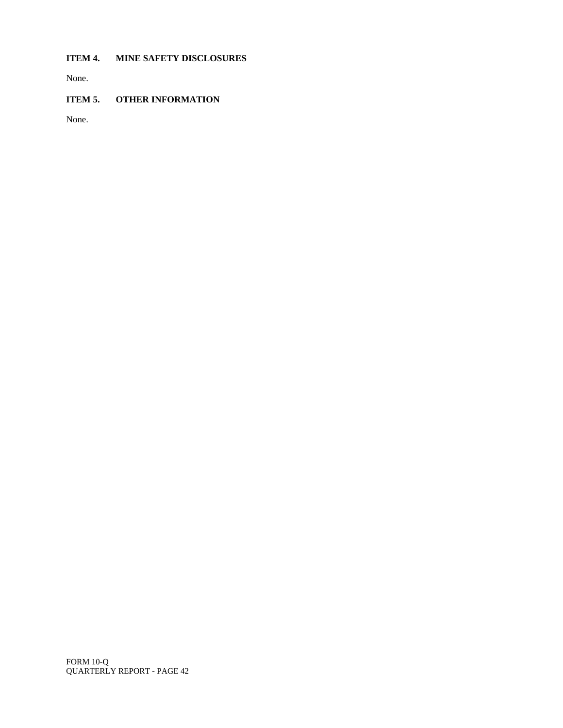# **ITEM 4. MINE SAFETY DISCLOSURES**

None.

# **ITEM 5. OTHER INFORMATION**

None.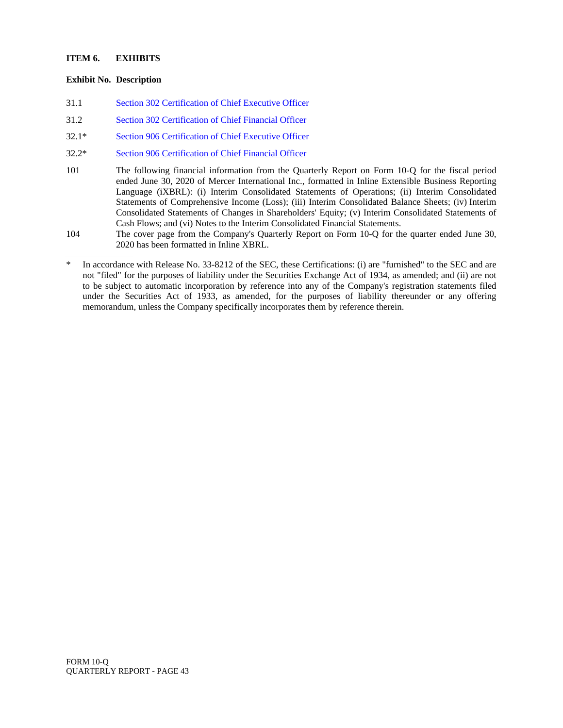# **ITEM 6. EXHIBITS**

## **Exhibit No. Description**

- 31.1 Section 302 Certification of Chief Executive Officer
- 31.2 Section 302 Certification of Chief Financial Officer
- 32.1\* Section 906 Certification of Chief Executive Officer
- 32.2\* Section 906 Certification of Chief Financial Officer
- 101 The following financial information from the Quarterly Report on Form 10-Q for the fiscal period ended June 30, 2020 of Mercer International Inc., formatted in Inline Extensible Business Reporting Language (iXBRL): (i) Interim Consolidated Statements of Operations; (ii) Interim Consolidated Statements of Comprehensive Income (Loss); (iii) Interim Consolidated Balance Sheets; (iv) Interim Consolidated Statements of Changes in Shareholders' Equity; (v) Interim Consolidated Statements of Cash Flows; and (vi) Notes to the Interim Consolidated Financial Statements.
- 104 The cover page from the Company's Quarterly Report on Form 10-Q for the quarter ended June 30, 2020 has been formatted in Inline XBRL.

<sup>\*</sup> In accordance with Release No. 33-8212 of the SEC, these Certifications: (i) are "furnished" to the SEC and are not "filed" for the purposes of liability under the Securities Exchange Act of 1934, as amended; and (ii) are not to be subject to automatic incorporation by reference into any of the Company's registration statements filed under the Securities Act of 1933, as amended, for the purposes of liability thereunder or any offering memorandum, unless the Company specifically incorporates them by reference therein.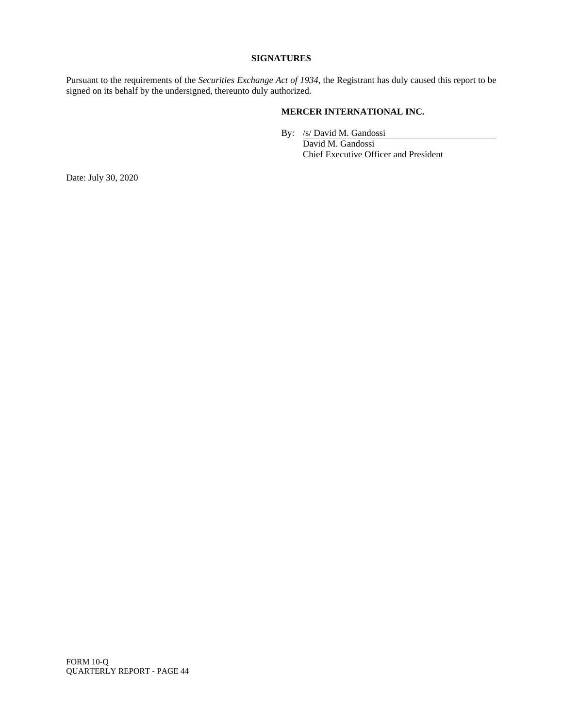#### **SIGNATURES**

Pursuant to the requirements of the *Securities Exchange Act of 1934*, the Registrant has duly caused this report to be signed on its behalf by the undersigned, thereunto duly authorized.

# **MERCER INTERNATIONAL INC.**

By: /s/ David M. Gandossi

David M. Gandossi Chief Executive Officer and President

Date: July 30, 2020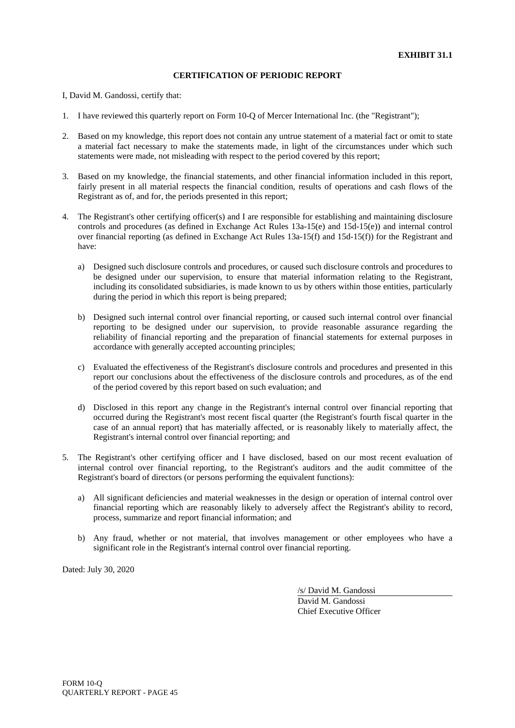I, David M. Gandossi, certify that:

- 1. I have reviewed this quarterly report on Form 10-Q of Mercer International Inc. (the "Registrant");
- 2. Based on my knowledge, this report does not contain any untrue statement of a material fact or omit to state a material fact necessary to make the statements made, in light of the circumstances under which such statements were made, not misleading with respect to the period covered by this report;
- 3. Based on my knowledge, the financial statements, and other financial information included in this report, fairly present in all material respects the financial condition, results of operations and cash flows of the Registrant as of, and for, the periods presented in this report;
- 4. The Registrant's other certifying officer(s) and I are responsible for establishing and maintaining disclosure controls and procedures (as defined in Exchange Act Rules 13a-15(e) and 15d-15(e)) and internal control over financial reporting (as defined in Exchange Act Rules 13a-15(f) and 15d-15(f)) for the Registrant and have:
	- a) Designed such disclosure controls and procedures, or caused such disclosure controls and procedures to be designed under our supervision, to ensure that material information relating to the Registrant, including its consolidated subsidiaries, is made known to us by others within those entities, particularly during the period in which this report is being prepared;
	- b) Designed such internal control over financial reporting, or caused such internal control over financial reporting to be designed under our supervision, to provide reasonable assurance regarding the reliability of financial reporting and the preparation of financial statements for external purposes in accordance with generally accepted accounting principles;
	- c) Evaluated the effectiveness of the Registrant's disclosure controls and procedures and presented in this report our conclusions about the effectiveness of the disclosure controls and procedures, as of the end of the period covered by this report based on such evaluation; and
	- d) Disclosed in this report any change in the Registrant's internal control over financial reporting that occurred during the Registrant's most recent fiscal quarter (the Registrant's fourth fiscal quarter in the case of an annual report) that has materially affected, or is reasonably likely to materially affect, the Registrant's internal control over financial reporting; and
- 5. The Registrant's other certifying officer and I have disclosed, based on our most recent evaluation of internal control over financial reporting, to the Registrant's auditors and the audit committee of the Registrant's board of directors (or persons performing the equivalent functions):
	- a) All significant deficiencies and material weaknesses in the design or operation of internal control over financial reporting which are reasonably likely to adversely affect the Registrant's ability to record, process, summarize and report financial information; and
	- b) Any fraud, whether or not material, that involves management or other employees who have a significant role in the Registrant's internal control over financial reporting.

Dated: July 30, 2020

/s/ David M. Gandossi

David M. Gandossi Chief Executive Officer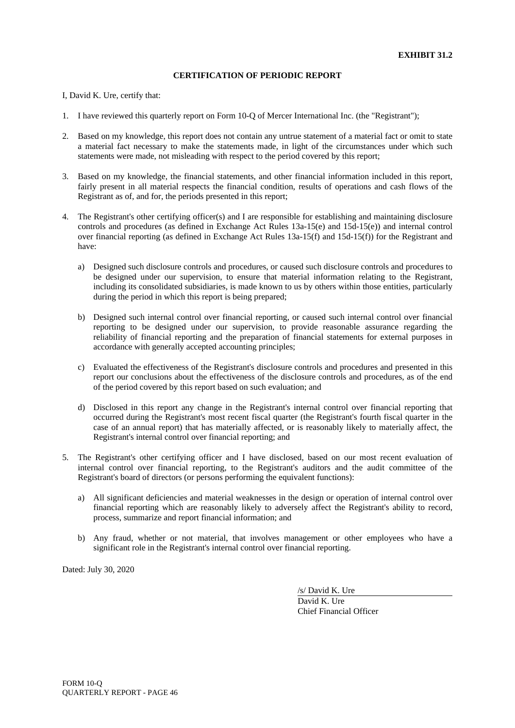I, David K. Ure, certify that:

- 1. I have reviewed this quarterly report on Form 10-Q of Mercer International Inc. (the "Registrant");
- 2. Based on my knowledge, this report does not contain any untrue statement of a material fact or omit to state a material fact necessary to make the statements made, in light of the circumstances under which such statements were made, not misleading with respect to the period covered by this report;
- 3. Based on my knowledge, the financial statements, and other financial information included in this report, fairly present in all material respects the financial condition, results of operations and cash flows of the Registrant as of, and for, the periods presented in this report;
- 4. The Registrant's other certifying officer(s) and I are responsible for establishing and maintaining disclosure controls and procedures (as defined in Exchange Act Rules 13a-15(e) and 15d-15(e)) and internal control over financial reporting (as defined in Exchange Act Rules 13a-15(f) and 15d-15(f)) for the Registrant and have:
	- a) Designed such disclosure controls and procedures, or caused such disclosure controls and procedures to be designed under our supervision, to ensure that material information relating to the Registrant, including its consolidated subsidiaries, is made known to us by others within those entities, particularly during the period in which this report is being prepared;
	- b) Designed such internal control over financial reporting, or caused such internal control over financial reporting to be designed under our supervision, to provide reasonable assurance regarding the reliability of financial reporting and the preparation of financial statements for external purposes in accordance with generally accepted accounting principles;
	- c) Evaluated the effectiveness of the Registrant's disclosure controls and procedures and presented in this report our conclusions about the effectiveness of the disclosure controls and procedures, as of the end of the period covered by this report based on such evaluation; and
	- d) Disclosed in this report any change in the Registrant's internal control over financial reporting that occurred during the Registrant's most recent fiscal quarter (the Registrant's fourth fiscal quarter in the case of an annual report) that has materially affected, or is reasonably likely to materially affect, the Registrant's internal control over financial reporting; and
- 5. The Registrant's other certifying officer and I have disclosed, based on our most recent evaluation of internal control over financial reporting, to the Registrant's auditors and the audit committee of the Registrant's board of directors (or persons performing the equivalent functions):
	- a) All significant deficiencies and material weaknesses in the design or operation of internal control over financial reporting which are reasonably likely to adversely affect the Registrant's ability to record, process, summarize and report financial information; and
	- b) Any fraud, whether or not material, that involves management or other employees who have a significant role in the Registrant's internal control over financial reporting.

Dated: July 30, 2020

/s/ David K. Ure

David K. Ure Chief Financial Officer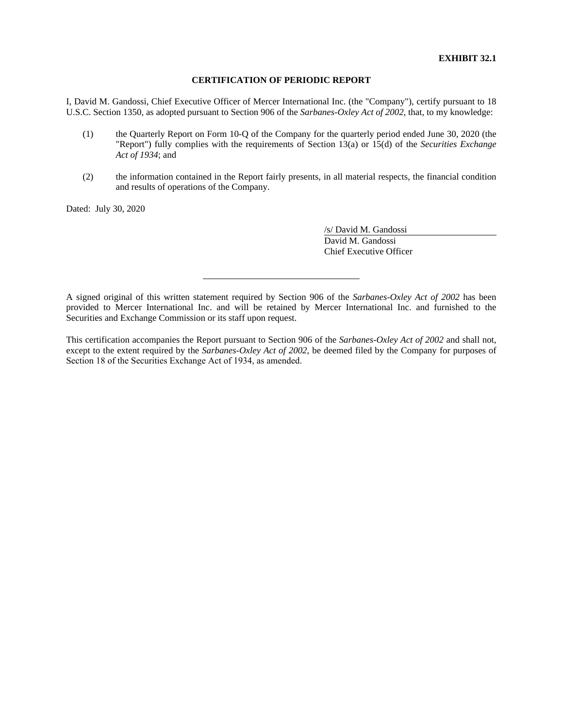I, David M. Gandossi, Chief Executive Officer of Mercer International Inc. (the "Company"), certify pursuant to 18 U.S.C. Section 1350, as adopted pursuant to Section 906 of the *Sarbanes-Oxley Act of 2002*, that, to my knowledge:

- (1) the Quarterly Report on Form 10-Q of the Company for the quarterly period ended June 30, 2020 (the "Report") fully complies with the requirements of Section 13(a) or 15(d) of the *Securities Exchange Act of 1934*; and
- (2) the information contained in the Report fairly presents, in all material respects, the financial condition and results of operations of the Company.

Dated: July 30, 2020

/s/ David M. Gandossi David M. Gandossi Chief Executive Officer

A signed original of this written statement required by Section 906 of the *Sarbanes-Oxley Act of 2002* has been provided to Mercer International Inc. and will be retained by Mercer International Inc. and furnished to the Securities and Exchange Commission or its staff upon request.

This certification accompanies the Report pursuant to Section 906 of the *Sarbanes-Oxley Act of 2002* and shall not, except to the extent required by the *Sarbanes-Oxley Act of 2002*, be deemed filed by the Company for purposes of Section 18 of the Securities Exchange Act of 1934, as amended.